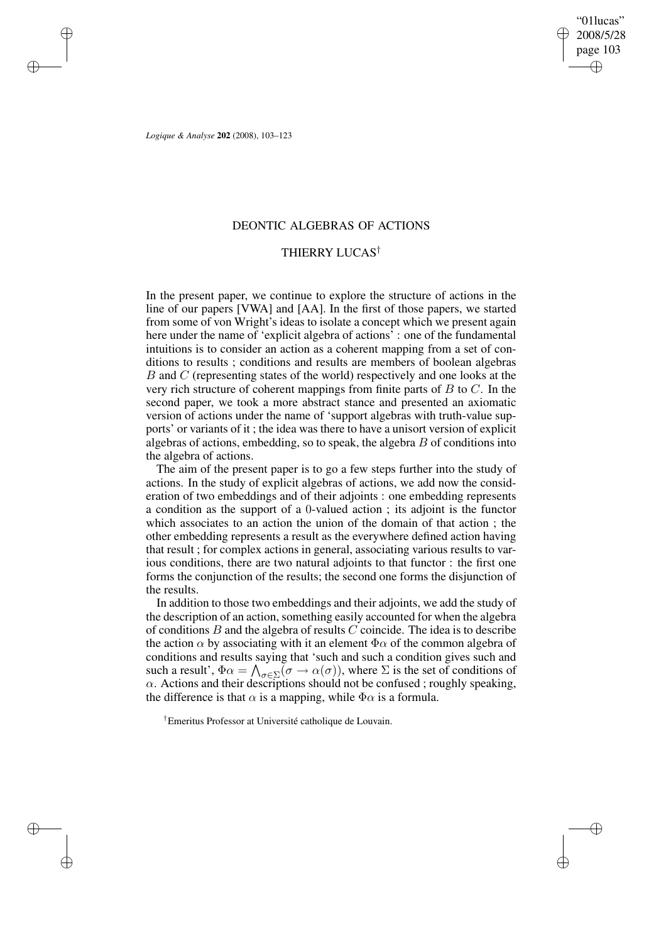✐

✐

*Logique & Analyse* **202** (2008), 103–123

✐

✐

✐

✐

# DEONTIC ALGEBRAS OF ACTIONS

# THIERRY LUCAS†

In the present paper, we continue to explore the structure of actions in the line of our papers [VWA] and [AA]. In the first of those papers, we started from some of von Wright's ideas to isolate a concept which we present again here under the name of 'explicit algebra of actions' : one of the fundamental intuitions is to consider an action as a coherent mapping from a set of conditions to results ; conditions and results are members of boolean algebras B and C (representing states of the world) respectively and one looks at the very rich structure of coherent mappings from finite parts of  $B$  to  $C$ . In the second paper, we took a more abstract stance and presented an axiomatic version of actions under the name of 'support algebras with truth-value supports' or variants of it ; the idea was there to have a unisort version of explicit algebras of actions, embedding, so to speak, the algebra  $B$  of conditions into the algebra of actions.

The aim of the present paper is to go a few steps further into the study of actions. In the study of explicit algebras of actions, we add now the consideration of two embeddings and of their adjoints : one embedding represents a condition as the support of a 0-valued action ; its adjoint is the functor which associates to an action the union of the domain of that action ; the other embedding represents a result as the everywhere defined action having that result ; for complex actions in general, associating various results to various conditions, there are two natural adjoints to that functor : the first one forms the conjunction of the results; the second one forms the disjunction of the results.

In addition to those two embeddings and their adjoints, we add the study of the description of an action, something easily accounted for when the algebra of conditions  $B$  and the algebra of results  $C$  coincide. The idea is to describe the action  $\alpha$  by associating with it an element  $\Phi \alpha$  of the common algebra of conditions and results saying that 'such and such a condition gives such and such a result',  $\Phi \alpha = \bigwedge_{\sigma \in \Sigma} (\sigma \to \alpha(\sigma))$ , where  $\Sigma$  is the set of conditions of  $\alpha$ . Actions and their descriptions should not be confused; roughly speaking, the difference is that  $\alpha$  is a mapping, while  $\Phi \alpha$  is a formula.

†Emeritus Professor at Université catholique de Louvain.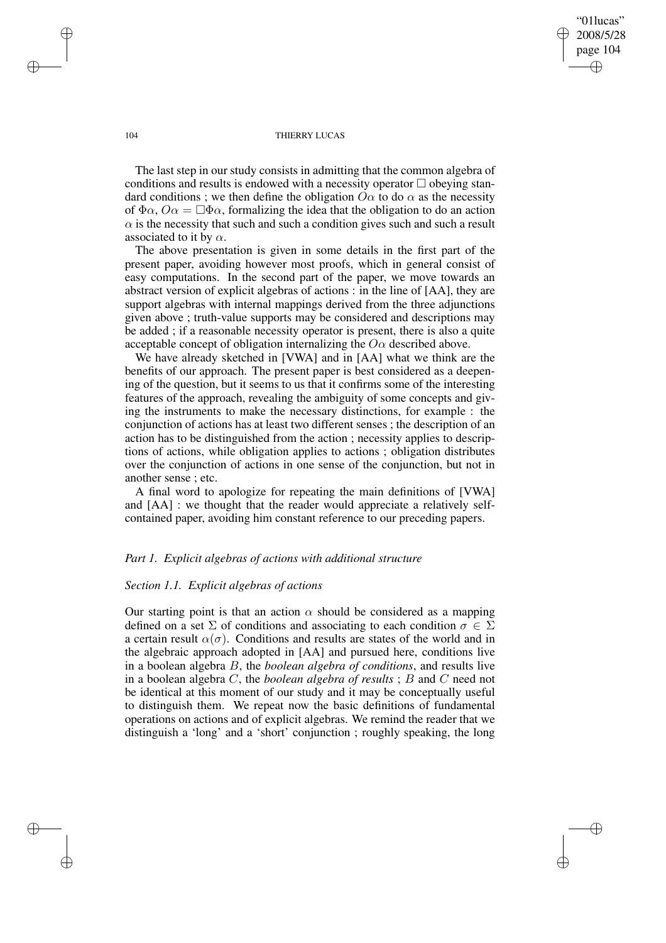"01lucas" 2008/5/28 page 104 ✐ ✐

✐

✐

#### 104 THIERRY LUCAS

The last step in our study consists in admitting that the common algebra of conditions and results is endowed with a necessity operator  $\Box$  obeying standard conditions; we then define the obligation  $O\alpha$  to do  $\alpha$  as the necessity of  $\Phi \alpha$ ,  $\overline{O} \alpha = \Box \Phi \alpha$ , formalizing the idea that the obligation to do an action  $\alpha$  is the necessity that such and such a condition gives such and such a result associated to it by  $\alpha$ .

The above presentation is given in some details in the first part of the present paper, avoiding however most proofs, which in general consist of easy computations. In the second part of the paper, we move towards an abstract version of explicit algebras of actions : in the line of [AA], they are support algebras with internal mappings derived from the three adjunctions given above ; truth-value supports may be considered and descriptions may be added ; if a reasonable necessity operator is present, there is also a quite acceptable concept of obligation internalizing the  $O\alpha$  described above.

We have already sketched in [VWA] and in [AA] what we think are the benefits of our approach. The present paper is best considered as a deepening of the question, but it seems to us that it confirms some of the interesting features of the approach, revealing the ambiguity of some concepts and giving the instruments to make the necessary distinctions, for example : the conjunction of actions has at least two different senses ; the description of an action has to be distinguished from the action ; necessity applies to descriptions of actions, while obligation applies to actions ; obligation distributes over the conjunction of actions in one sense of the conjunction, but not in another sense ; etc.

A final word to apologize for repeating the main definitions of [VWA] and [AA] : we thought that the reader would appreciate a relatively selfcontained paper, avoiding him constant reference to our preceding papers.

### *Part 1. Explicit algebras of actions with additional structure*

### *Section 1.1. Explicit algebras of actions*

Our starting point is that an action  $\alpha$  should be considered as a mapping defined on a set  $\Sigma$  of conditions and associating to each condition  $\sigma \in \Sigma$ a certain result  $\alpha(\sigma)$ . Conditions and results are states of the world and in the algebraic approach adopted in [AA] and pursued here, conditions live in a boolean algebra B, the *boolean algebra of conditions*, and results live in a boolean algebra C, the *boolean algebra of results* ; B and C need not be identical at this moment of our study and it may be conceptually useful to distinguish them. We repeat now the basic definitions of fundamental operations on actions and of explicit algebras. We remind the reader that we distinguish a 'long' and a 'short' conjunction ; roughly speaking, the long

✐

✐

✐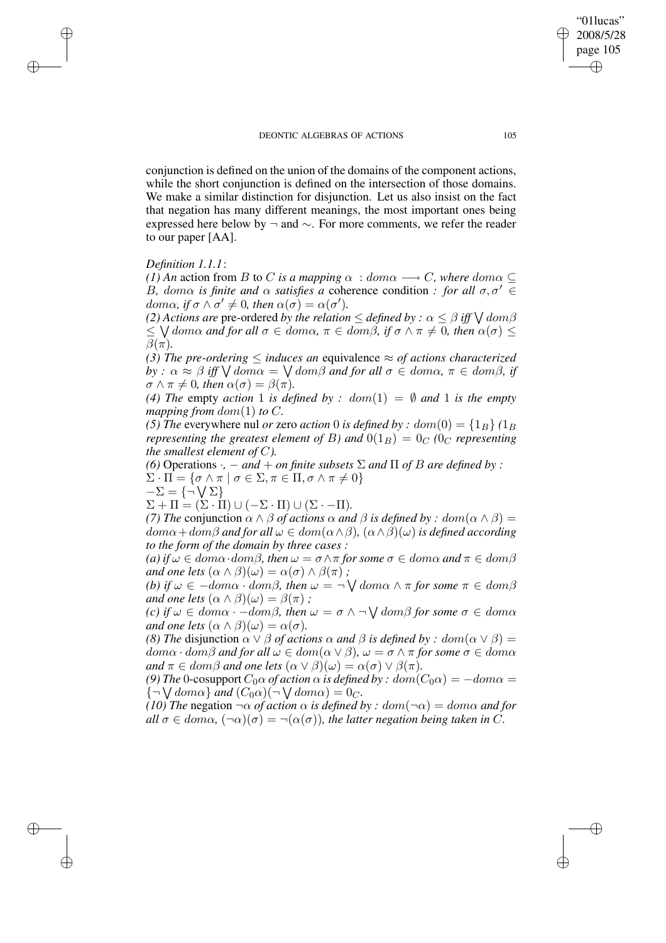conjunction is defined on the union of the domains of the component actions, while the short conjunction is defined on the intersection of those domains. We make a similar distinction for disjunction. Let us also insist on the fact that negation has many different meanings, the most important ones being expressed here below by  $\neg$  and  $\sim$ . For more comments, we refer the reader to our paper [AA].

# *Definition 1.1.1*:

✐

✐

✐

✐

*(1) An* action from *B* to *C is a mapping*  $\alpha : dom \alpha \rightarrow C$ *, where* dom $\alpha \subseteq$ B, doma is finite and  $\alpha$  satisfies a coherence condition : for all  $\sigma, \sigma' \in$  $dom\alpha$ , if  $\sigma \wedge \sigma' \neq 0$ , then  $\alpha(\sigma) = \alpha(\sigma')$ .

*(2) Actions are pre-ordered by the relation*  $\leq$  *defined by :*  $\alpha \leq \beta$  *iff*  $\bigvee$  *dom* $\beta$  $\leq$   $\setminus$  *dom* $\alpha$  *and for all*  $\sigma \in dom\alpha$ ,  $\pi \in dom\beta$ , *if*  $\sigma \wedge \pi \neq 0$ , *then*  $\alpha(\sigma) \leq$  $\beta(\pi)$ *.* 

*(3) The pre-ordering*  $\leq$  *induces an equivalence*  $\approx$  *of actions characterized*  $by$  :  $\alpha \approx \beta$  *iff*  $\bigvee dom\alpha = \bigvee dom\beta$  *and for all*  $\sigma \in dom\alpha$ *,*  $\pi \in dom\beta$ *, if*  $\sigma \wedge \pi \neq 0$ , then  $\alpha(\sigma) = \beta(\pi)$ .

(4) *The empty action* 1 *is defined by* :  $dom(1) = \emptyset$  *and* 1 *is the empty mapping from*  $dom(1)$  *to*  $C$ *.* 

*(5) The* everywhere nul *or* zero *action* 0 *is defined by*  $: dom(0) = \{1_B\}$  ( $1_B$ ) *representing the greatest element of* B) and  $0(1_B) = 0_C$  *(0<sub>C</sub> representing the smallest element of* C*).*

*(6)* Operations  $\cdot$ ,  $-$  *and*  $+$  *on finite subsets*  $\Sigma$  *and*  $\Pi$  *of*  $B$  *are defined by* :  $\Sigma \cdot \Pi = \{ \sigma \wedge \pi \mid \sigma \in \Sigma, \pi \in \Pi, \sigma \wedge \pi \neq 0 \}$  $-\Sigma = \{\neg \bigvee \Sigma\}$ 

 $\Sigma + \Pi = (\Sigma \cdot \Pi) \cup (-\Sigma \cdot \Pi) \cup (\Sigma \cdot -\Pi).$ 

*(7) The* conjunction  $\alpha \wedge \beta$  *of actions*  $\alpha$  *and*  $\beta$  *is defined by : dom*( $\alpha \wedge \beta$ ) =  $dom\alpha + dom\beta$  *and for all*  $\omega \in dom(\alpha \wedge \beta)$ ,  $(\alpha \wedge \beta)(\omega)$  *is defined according to the form of the domain by three cases :*

*(a) if*  $\omega \in dom \alpha \cdot dom \beta$ , *then*  $\omega = \sigma \wedge \pi$  *for some*  $\sigma \in dom \alpha$  *and*  $\pi \in dom \beta$ *and one lets*  $(\alpha \wedge \beta)(\omega) = \alpha(\sigma) \wedge \beta(\pi)$ ;

 $f(b)$  *if*  $\omega \in -dom\alpha \cdot dom\beta$ *, then*  $\omega = \neg \bigvee dom\alpha \wedge \pi$  *for some*  $\pi \in dom\beta$ *and one lets*  $(\alpha \wedge \beta)(\omega) = \beta(\pi)$ ;

 $f(c)$  *if*  $\omega \in dom\alpha \cdot -dom\beta$ *, then*  $\omega = \sigma \wedge \neg \bigvee dom\beta$  *for some*  $\sigma \in dom\alpha$ *and one lets*  $(\alpha \wedge \beta)(\omega) = \alpha(\sigma)$ *.* 

*(8) The* disjunction  $\alpha \vee \beta$  *of actions*  $\alpha$  *and*  $\beta$  *is defined by : dom*( $\alpha \vee \beta$ ) =  $dom \alpha \cdot dom \beta$  *and for all*  $\omega \in dom(\alpha \vee \beta)$ ,  $\omega = \sigma \wedge \pi$  *for some*  $\sigma \in dom \alpha$ *and*  $\pi \in \text{dom}\beta$  *and one lets*  $(\alpha \vee \beta)(\omega) = \alpha(\sigma) \vee \beta(\pi)$ *.* 

*(9) The* 0-cosupport  $C_0 \alpha$  *of action*  $\alpha$  *is defined by* :  $dom(C_0 \alpha) = -dom \alpha =$  ${\lbrace \neg \bigvee \text{dom}\alpha \rbrace}$  and  $(C_0\alpha)(\neg \bigvee \text{dom}\alpha) = 0_C$ .

 $(10)$  *The* negation  $\neg \alpha$  *of action*  $\alpha$  *is defined by* :  $dom(\neg \alpha) = dom \alpha$  *and for*  $all \sigma \in dom\alpha$ ,  $(\neg \alpha)(\sigma) = \neg (\alpha(\sigma))$ *, the latter negation being taken in C.* 

2008/5/28 page 105 ✐ ✐

 $\bigoplus$ 

✐

"01lucas"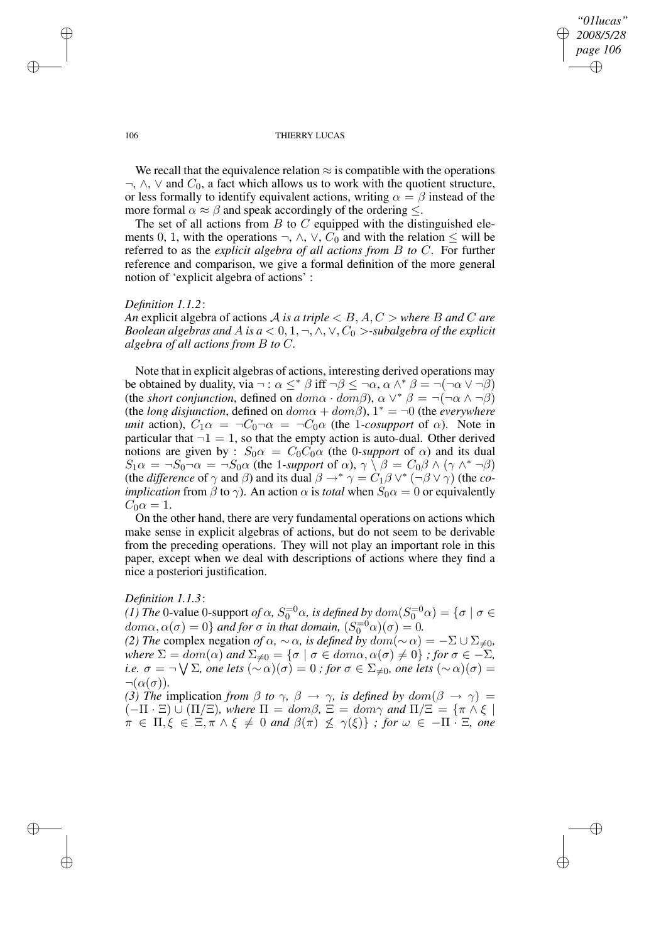### *"01lucas" 2008/5/28 page 106* ✐ ✐

✐

✐

#### 106 THIERRY LUCAS

We recall that the equivalence relation  $\approx$  is compatible with the operations  $\neg$ ,  $\wedge$ ,  $\vee$  and  $C_0$ , a fact which allows us to work with the quotient structure, or less formally to identify equivalent actions, writing  $\alpha = \beta$  instead of the more formal  $\alpha \approx \beta$  and speak accordingly of the ordering  $\leq$ .

The set of all actions from  $B$  to  $C$  equipped with the distinguished elements 0, 1, with the operations  $\neg$ ,  $\wedge$ ,  $\vee$ ,  $C_0$  and with the relation  $\leq$  will be referred to as the *explicit algebra of all actions from* B *to* C. For further reference and comparison, we give a formal definition of the more general notion of 'explicit algebra of actions' :

### *Definition 1.1.2*:

*An* explicit algebra of actions A *is a triple*  $\lt B$ , A, C  $>$  *where* B and C are *Boolean algebras and A is*  $a < 0, 1, \neg, \land, \lor, C_0$  >-subalgebra of the explicit *algebra of all actions from* B *to* C*.*

Note that in explicit algebras of actions, interesting derived operations may be obtained by duality, via  $\neg : \alpha \leq^* \beta$  iff  $\neg \beta \leq \neg \alpha$ ,  $\alpha \wedge^* \beta = \neg(\neg \alpha \vee \neg \beta)$ (the *short conjunction*, defined on  $dom \alpha \cdot dom \beta$ ),  $\alpha \vee^* \beta = \neg(\neg \alpha \wedge \neg \beta)$ (the *long* disjunction, defined on  $dom\alpha + dom\beta$ ),  $1^* = \neg 0$  (the *everywhere unit* action),  $C_1 \alpha = \neg C_0 \neg \alpha = \neg C_0 \alpha$  (the 1*-cosupport* of  $\alpha$ ). Note in particular that  $\neg 1 = 1$ , so that the empty action is auto-dual. Other derived notions are given by :  $S_0 \alpha = C_0 C_0 \alpha$  (the 0-*support* of  $\alpha$ ) and its dual  $S_1 \alpha = \neg S_0 \neg \alpha = \neg S_0 \alpha$  (the 1-support of  $\alpha$ ),  $\gamma \setminus \beta = C_0 \beta \wedge (\gamma \wedge^* \neg \beta)$ (the *difference* of  $\gamma$  and  $\beta$ ) and its dual  $\beta \rightarrow^* \gamma = C_1 \beta \vee^* (\neg \beta \vee \gamma)$  (the *coimplication* from  $\beta$  to  $\gamma$ ). An action  $\alpha$  is *total* when  $S_0 \alpha = 0$  or equivalently  $C_0\alpha=1.$ 

On the other hand, there are very fundamental operations on actions which make sense in explicit algebras of actions, but do not seem to be derivable from the preceding operations. They will not play an important role in this paper, except when we deal with descriptions of actions where they find a nice a posteriori justification.

### *Definition 1.1.3*:

*(1) The* 0-value 0-support *of*  $\alpha$ ,  $S_0^{=0}\alpha$ , *is defined by*  $dom(S_0^{=0}\alpha) = {\sigma \mid \sigma \in \mathbb{R}^d}$  $dom\alpha, \alpha(\sigma) = 0$  and for  $\sigma$  in that domain,  $(S_0^{-0}\alpha)(\sigma) = 0$ . *(2) The* complex negation *of*  $\alpha$ *,*  $\sim \alpha$ *, is defined by*  $dom(\sim \alpha) = -\sum \cup \sum_{\neq 0}$ *, where*  $\Sigma = dom(\alpha)$  *and*  $\Sigma_{\neq 0} = {\sigma | \sigma \in dom \alpha, \alpha(\sigma) \neq 0}$  *; for*  $\sigma \in -\Sigma$ *,*  $i.e. \; \sigma = \neg \bigvee \Sigma$ , one lets  $(\sim \alpha)(\sigma) = 0$  *; for*  $\sigma \in \Sigma_{\neq 0}$ , one lets  $(\sim \alpha)(\sigma) = 0$  $\neg(\alpha(\sigma)).$ 

*(3) The* implication *from*  $\beta$  *to*  $\gamma$ ,  $\beta \rightarrow \gamma$ , *is defined by*  $dom(\beta \rightarrow \gamma)$  =  $(-\Pi \cdot \Xi) \cup (\Pi/\Xi)$ , where  $\Pi = dom\beta$ ,  $\Xi = dom\gamma$  and  $\Pi/\Xi = {\pi \wedge \xi \mid \xi}$  $\pi \in \Pi, \xi \in \Xi, \pi \wedge \xi \neq 0$  and  $\beta(\pi) \not\leq \gamma(\xi) \}$  ; for  $\omega \in -\Pi \cdot \Xi$ , one

✐

✐

✐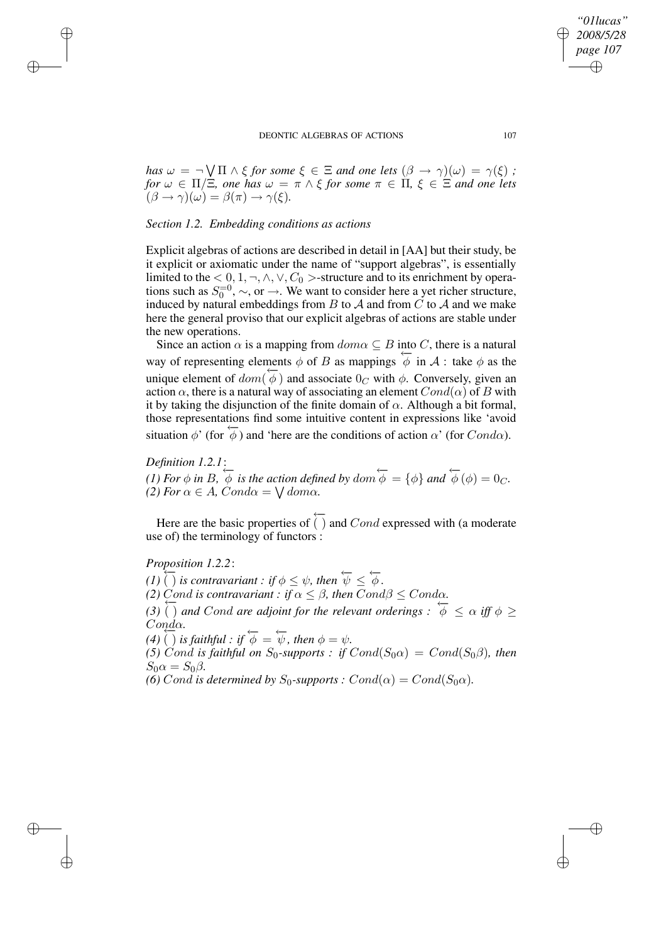*has*  $\omega = \neg \bigvee \Pi \wedge \xi$  *for some*  $\xi \in \Xi$  *and one lets*  $(\beta \to \gamma)(\omega) = \gamma(\xi)$  *; for*  $\omega \in \Pi/\Xi$ *, one has*  $\omega = \pi \wedge \xi$  *for some*  $\pi \in \Pi$ *,*  $\xi \in \Xi$  *and one lets*  $(\beta \rightarrow \gamma)(\omega) = \beta(\pi) \rightarrow \gamma(\xi).$ 

### *Section 1.2. Embedding conditions as actions*

Explicit algebras of actions are described in detail in [AA] but their study, be it explicit or axiomatic under the name of "support algebras", is essentially limited to the  $< 0, 1, \neg, \land, \lor, C_0 >$ -structure and to its enrichment by operations such as  $S_0^{-0}$ ,  $\sim$ , or  $\rightarrow$ . We want to consider here a yet richer structure, induced by natural embeddings from  $B$  to  $A$  and from  $C$  to  $A$  and we make here the general proviso that our explicit algebras of actions are stable under the new operations.

Since an action  $\alpha$  is a mapping from  $dom \alpha \subseteq B$  into C, there is a natural way of representing elements  $\phi$  of B as mappings  $\phi$  in A : take  $\phi$  as the unique element of  $dom(\phi)$  and associate  $0_C$  with  $\phi$ . Conversely, given an action  $\alpha$ , there is a natural way of associating an element  $Cond(\alpha)$  of B with it by taking the disjunction of the finite domain of  $\alpha$ . Although a bit formal, those representations find some intuitive content in expressions like 'avoid situation  $\phi'$  (for  $\phi'$ ) and 'here are the conditions of action  $\alpha'$  (for Cond $\alpha$ ).

# *Definition 1.2.1*:

✐

✐

✐

✐

(1) For  $\phi$  in B,  $\phi$  is the action defined by dom  $\phi = {\phi}$  and  $\phi(\phi) = 0_C$ . *(2) For*  $\alpha \in A$ *, Cond* $\alpha = \sqrt{d_{\alpha}$ *.* 

Here are the basic properties of ←−  $( )$  and  $Cond$  expressed with (a moderate use of) the terminology of functors :

*Proposition 1.2.2*:

*(1)*  $\overleftarrow{()}$  *is contravariant : if*  $\phi \leq \psi$ , *then*  $\overleftarrow{\psi} \leq \overleftarrow{\phi}$ .

*(2)* Cond is contravariant : if  $\alpha \leq \beta$ , then  $Cond\beta \leq Cond\alpha$ .

(3)  $\overline{()}$  *and Cond are adjoint for the relevant orderings*  $: \overline{\phi} \leq \alpha$  *iff*  $\phi \geq$ Condα*.*

 $(4)$   $\overline{()}$  *is faithful : if*  $\overline{\phi} = \overleftarrow{\psi}$ *, then*  $\phi = \psi$ *.* 

*(5)* Cond is faithful on  $S_0$ -supports : if  $Cond(S_0\alpha) = Cond(S_0\beta)$ , then  $S_0 \alpha = S_0 \beta$ .

*(6)* Cond *is determined by*  $S_0$ -supports  $: Cond(\alpha) = Cond(S_0\alpha)$ .

*"01lucas" 2008/5/28 page 107*

✐

✐

✐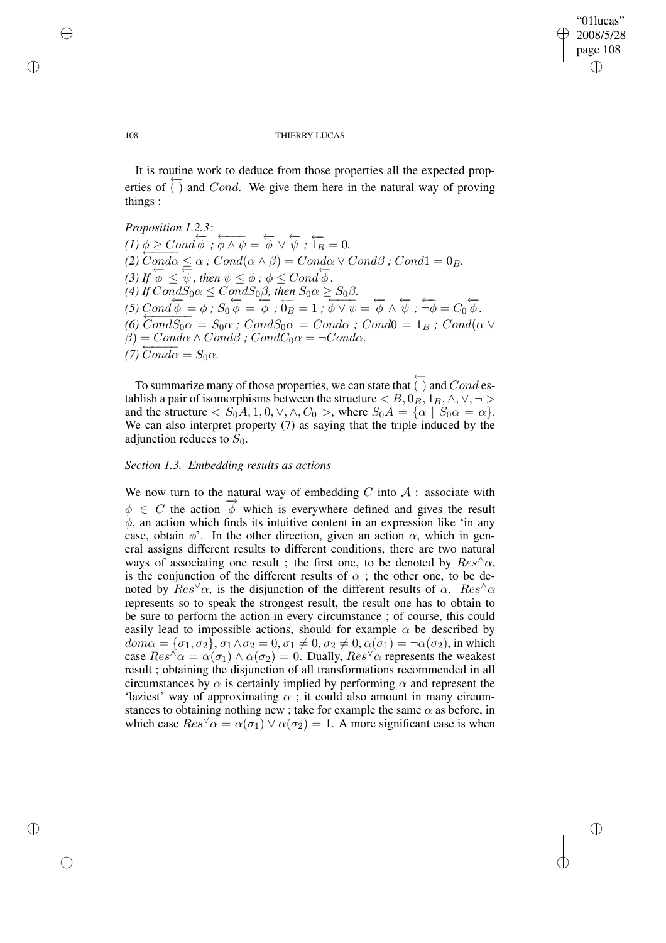✐

✐

#### 108 THIERRY LUCAS

It is routine work to deduce from those properties all the expected properties of ←− ( $)$  and *Cond*. We give them here in the natural way of proving things :

*Proposition 1.2.3*:  $\overline{(1)\phi} \geq Cond \overline{\phi}$ ;  $\overline{\phi} \wedge \overline{\psi} = \overline{\phi} \vee \overline{\psi}$ ;  $\overleftarrow{1_B} = 0$ . (2)  $\overline{Cond\alpha} \leq \alpha$ ;  $Cond(\alpha \wedge \beta) = Cond\alpha \vee Cond\beta$ ;  $Cond1 = 0_B$ . (3) If  $\phi \leq \psi$ , then  $\psi \leq \phi$ ;  $\phi \leq Cond \phi$ . *(4) If*  $CondS_0\alpha \leq CondS_0\beta$ , *then*  $S_0\alpha \geq S_0\beta$ .  $(5)$  Cond  $\phi = \phi$ ;  $S_0 \overline{\phi} = \overline{\phi}$ ;  $\overline{O_B} = 1$ ;  $\overline{\phi} \vee \overline{\psi} = \overline{\phi} \wedge \overline{\psi}$ ;  $\overline{\neg \phi} = C_0 \overline{\phi}$ .<br>  $\overline{O} = \overline{O} = \overline{O} = \overline{O} = \overline{O} = \overline{O}$ . (6)  $CondS_0\alpha = S_0\alpha$  *; Cond* $S_0\alpha = Cond\alpha$  *; Cond*( $\alpha \vee$  $\beta$ ) = Cond $\alpha \wedge Cond\beta$ ; CondC<sub>0</sub> $\alpha$  =  $\neg Cond\alpha$ .  $(7)\overbrace{Cond\alpha}^{c\ \text{on}\ \alpha} = S_0\alpha.$ 

To summarize many of those properties, we can state that ←−  $( )$  and  $Cond$  establish a pair of isomorphisms between the structure  $\langle B, 0, 0, 1, 1, 0, 0, \cdot \rangle$ and the structure  $\langle S_0A, 1, 0, \vee, \wedge, C_0 \rangle$ , where  $S_0A = \{\alpha \mid S_0\alpha = \alpha\}.$ We can also interpret property (7) as saying that the triple induced by the adjunction reduces to  $S_0$ .

### *Section 1.3. Embedding results as actions*

We now turn to the natural way of embedding C into  $A$ : associate with  $\phi \in C$  the action  $\vec{\phi}$  which is everywhere defined and gives the result  $\phi$ , an action which finds its intuitive content in an expression like 'in any case, obtain  $\phi'$ . In the other direction, given an action  $\alpha$ , which in general assigns different results to different conditions, there are two natural ways of associating one result ; the first one, to be denoted by  $Res^{\wedge}\alpha$ , is the conjunction of the different results of  $\alpha$ ; the other one, to be denoted by  $Res^{\vee}\alpha$ , is the disjunction of the different results of  $\alpha$ .  $Res^{\wedge}\alpha$ represents so to speak the strongest result, the result one has to obtain to be sure to perform the action in every circumstance ; of course, this could easily lead to impossible actions, should for example  $\alpha$  be described by  $dom \alpha = {\sigma_1, \sigma_2}, \sigma_1 \wedge \sigma_2 = 0, \sigma_1 \neq 0, \sigma_2 \neq 0, \alpha(\sigma_1) = \neg \alpha(\sigma_2)$ , in which case  $Res^{\wedge} \alpha = \alpha(\sigma_1) \wedge \alpha(\sigma_2) = 0$ . Dually,  $Res^{\vee} \alpha$  represents the weakest result ; obtaining the disjunction of all transformations recommended in all circumstances by  $\alpha$  is certainly implied by performing  $\alpha$  and represent the 'laziest' way of approximating  $\alpha$ ; it could also amount in many circumstances to obtaining nothing new ; take for example the same  $\alpha$  as before, in which case  $Res^{\vee} \alpha = \alpha(\sigma_1) \vee \alpha(\sigma_2) = 1$ . A more significant case is when

✐

✐

✐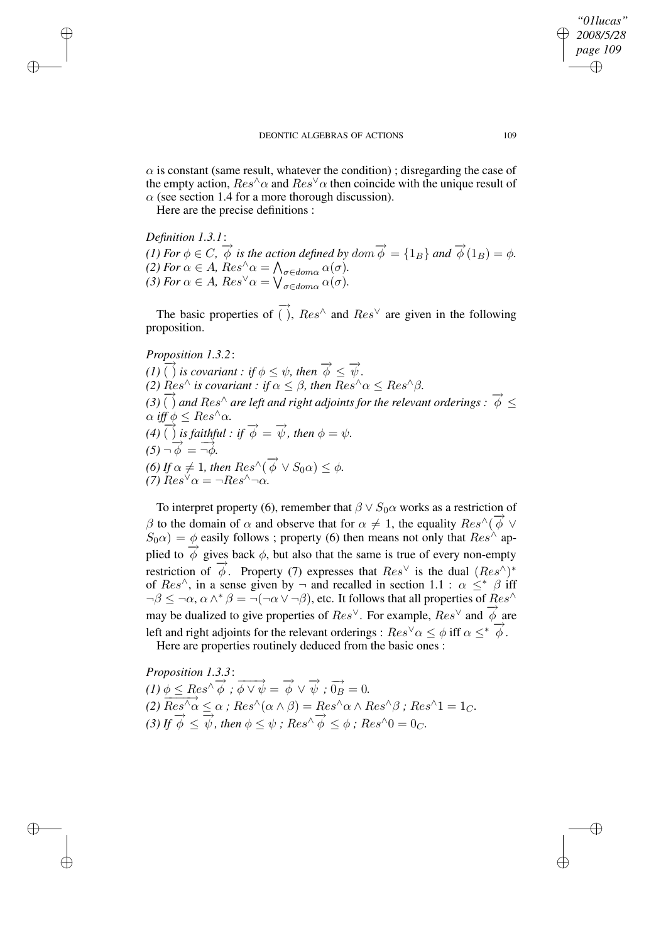*"01lucas" 2008/5/28 page 109* ✐ ✐

✐

✐

 $\alpha$  is constant (same result, whatever the condition); disregarding the case of the empty action,  $Res^{\wedge} \alpha$  and  $Res^{\vee} \alpha$  then coincide with the unique result of  $\alpha$  (see section 1.4 for a more thorough discussion).

Here are the precise definitions :

*Definition 1.3.1*:

✐

✐

✐

✐

(1) For  $\phi \in C$ ,  $\overrightarrow{\phi}$  is the action defined by dom  $\overrightarrow{\phi} = \{1_B\}$  and  $\overrightarrow{\phi}(1_B) = \phi$ . *(2) For*  $\alpha \in A$ *,*  $Res^{\wedge} \alpha = \bigwedge_{\sigma \in dom \alpha} \alpha(\sigma)$ *. (3) For*  $\alpha \in A$ *,*  $Res^{\vee} \alpha = \bigvee_{\sigma \in dom \alpha} \alpha(\sigma)$ *.* 

The basic properties of  $\overrightarrow{()}$ ,  $\overrightarrow{Res}^{\wedge}$  and  $\overrightarrow{Res}^{\vee}$  are given in the following proposition.

# *Proposition 1.3.2*:

 $\overrightarrow{(I)}\overrightarrow{I}$  *is covariant : if*  $\phi \leq \psi$ *, then*  $\overrightarrow{\phi} \leq \overrightarrow{\psi}$ *. (2)*  $\text{Res}^{\wedge}$  *is covariant : if*  $\alpha \leq \beta$ *, then*  $\text{Res}^{\wedge} \alpha \leq \text{Res}^{\wedge} \beta$ *.* (3)  $\overrightarrow{()}$  and Res<sup>∧</sup> are left and right adjoints for the relevant orderings :  $\overrightarrow{\phi} \leq$  $\alpha$  *iff*  $\phi \leq Res^{\wedge} \alpha$ *.*  $\overrightarrow{y}$   $\overrightarrow{y}$   $\overrightarrow{y}$   $\overrightarrow{z}$  *i*ccs a:<br>(4)  $\overrightarrow{()}$  *is faithful : if*  $\overrightarrow{\phi} = \overrightarrow{\psi}$ *, then*  $\phi = \psi$ *.*  $(5)$   $\neg \overrightarrow{\phi} = \overrightarrow{\neg \phi}$ . (6) If  $\alpha \neq 1$ , then  $Res^{\wedge}(\overrightarrow{\phi} \vee S_0\alpha) \leq \phi$ . *(7)*  $Res^{\vee} \alpha = \neg Res^{\wedge} \neg \alpha$ *.* 

To interpret property (6), remember that  $\beta \vee S_0 \alpha$  works as a restriction of β to the domain of  $\alpha$  and observe that for  $\alpha \neq 1$ , the equality  $Res^{\wedge}(\vec{\phi} \vee \vec{\phi})$  $S_0\alpha$ ) =  $\phi$  easily follows ; property (6) then means not only that  $Res^{\wedge}$  applied to  $\overrightarrow{\phi}$  gives back  $\phi$ , but also that the same is true of every non-empty restriction of  $\phi$ . Property (7) expresses that  $Res^{\vee}$  is the dual  $(Res^{\wedge})^*$ of  $Res^{\wedge}$ , in a sense given by  $\neg$  and recalled in section 1.1 :  $\alpha \leq^* \beta$  iff  $\neg \beta \leq \neg \alpha$ ,  $\alpha \wedge^* \beta = \neg (\neg \alpha \vee \neg \beta)$ , etc. It follows that all properties of  $\text{Res}^{\wedge}$  $\mu \equiv -\omega$ ,  $\omega \sim \rho$  and  $\omega$ ,  $\omega$ ,  $\omega$ ,  $\omega$ ,  $\omega$ ,  $\omega$ ,  $\omega$ ,  $\omega$ ,  $\omega$ ,  $\omega$ ,  $\omega$ ,  $\omega$ ,  $\omega$ ,  $\omega$ ,  $\omega$ ,  $\omega$ ,  $\omega$ ,  $\omega$ ,  $\omega$ ,  $\omega$ ,  $\omega$ ,  $\omega$ ,  $\omega$ ,  $\omega$ ,  $\omega$ ,  $\omega$ ,  $\omega$ ,  $\omega$ ,  $\omega$ ,  $\omega$ ,  $\omega$ ,  $\omega$ ,  $\omega$ , left and right adjoints for the relevant orderings :  $Res^{\vee} \alpha \leq \phi$  iff  $\alpha \leq^* \overrightarrow{\phi}$ . Here are properties routinely deduced from the basic ones :

*Proposition 1.3.3*:  $\overrightarrow{(1)} \phi \leq Res^{\wedge} \overrightarrow{\phi}$ ;  $\overrightarrow{\phi} \vee \overrightarrow{\psi} = \overrightarrow{\phi} \vee \overrightarrow{\psi}$ ;  $\overrightarrow{0_B} = 0$ . *(2)*  $\frac{\sqrt{2+12c}}{Res^{\wedge}\alpha} \leq \alpha$ ; Res^(a \  $\beta$ ) = Res^ $\alpha \wedge Res^{\wedge}\beta$ ; Res^1 = 1<sub>C</sub>. (3) If  $\overrightarrow{\phi} \leq \overrightarrow{\psi}$ , then  $\phi \leq \psi$ ; Res^ $\overrightarrow{\phi} \leq \phi$ ; Res^0 = 0c.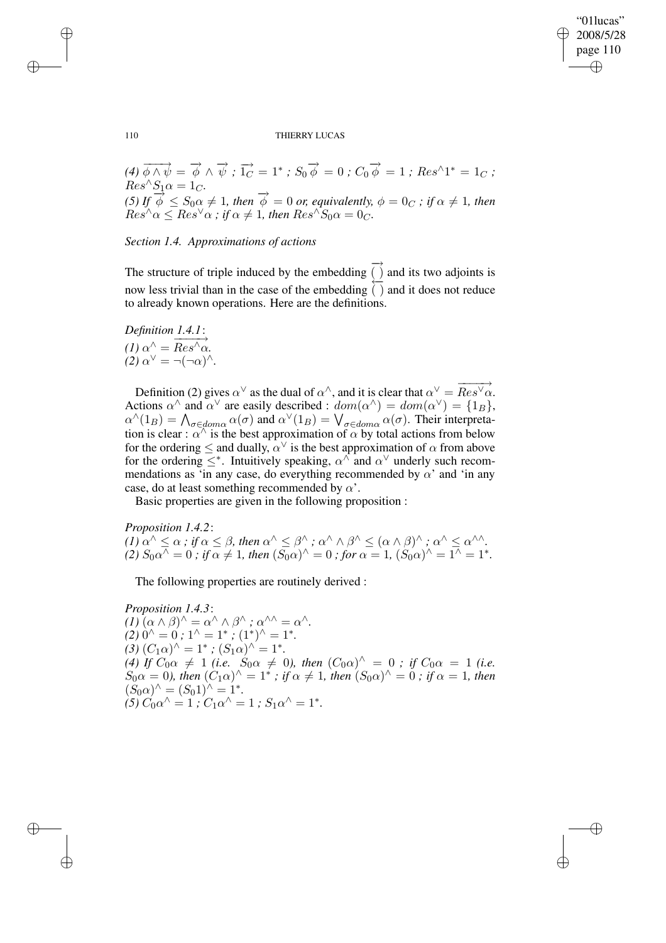✐

✐

#### 110 THIERRY LUCAS

(4) 
$$
\overrightarrow{\phi} \wedge \overrightarrow{\psi} = \overrightarrow{\phi} \wedge \overrightarrow{\psi}
$$
;  $\overrightarrow{1_C} = 1^*$ ;  $S_0 \overrightarrow{\phi} = 0$ ;  $C_0 \overrightarrow{\phi} = 1$ ;  $Res^{\wedge}1^* = 1_C$ ;  
\n $Res^{\wedge}S_1 \alpha = 1_C$ .  
\n(5) If  $\overrightarrow{\phi} \leq S_0 \alpha \neq 1$ , then  $\overrightarrow{\phi} = 0$  or, equivalently,  $\phi = 0_C$ ; if  $\alpha \neq 1$ , then  $Res^{\wedge} \alpha \leq Res^{\vee} \alpha$ ; if  $\alpha \neq 1$ , then  $Res^{\wedge}S_0 \alpha = 0_C$ .

*Section 1.4. Approximations of actions*

The structure of triple induced by the embedding −→ ( ) and its two adjoints is now less trivial than in the case of the embedding ←− ( ) and it does not reduce to already known operations. Here are the definitions.

*Definition 1.4.1*:  $(1) \alpha^{\hat{}} = \overline{Res^{\hat{}}\alpha}.$  $(2) \alpha^{\vee} = \neg(\neg \alpha)^{\wedge}.$ 

✐

✐

✐

✐

Definition (2) gives  $\alpha^{\vee}$  as the dual of  $\alpha^{\wedge}$ , and it is clear that  $\alpha^{\vee} = \overrightarrow{Res^{\vee} \alpha}$ . Actions  $\alpha^{\wedge}$  and  $\alpha^{\vee}$  are easily described :  $dom(\alpha^{\wedge}) = dom(\alpha^{\vee}) = \{1_B\},$  $\alpha^{\wedge}(1_B) = \bigwedge_{\sigma \in dom \alpha} \alpha(\sigma)$  and  $\alpha^{\vee}(1_B) = \bigvee_{\sigma \in dom \alpha} \alpha(\sigma)$ . Their interpretation is clear :  $\alpha^{\wedge}$  is the best approximation of  $\alpha$  by total actions from below for the ordering  $\leq$  and dually,  $\alpha^{\vee}$  is the best approximation of  $\alpha$  from above for the ordering  $\leq^*$ . Intuitively speaking,  $\alpha^{\wedge}$  and  $\alpha^{\vee}$  underly such recommendations as 'in any case, do everything recommended by  $\alpha'$  and 'in any case, do at least something recommended by  $\alpha'$ .

Basic properties are given in the following proposition :

*Proposition 1.4.2*:  $(1)$   $\alpha^{\wedge} \leq \alpha$  *;* if  $\alpha \leq \beta$ *, then*  $\alpha^{\wedge} \leq \beta^{\wedge}$  *;*  $\alpha^{\wedge} \wedge \beta^{\wedge} \leq (\alpha \wedge \beta)^{\wedge}$  *;*  $\alpha^{\wedge} \leq \alpha^{\wedge \wedge}$ *. (2)*  $S_0 \alpha^{\wedge} = 0$  ; if  $\alpha \neq 1$ , then  $(S_0 \alpha)^{\wedge} = 0$  ; for  $\alpha = 1$ ,  $(S_0 \alpha)^{\wedge} = 1^{\wedge} = 1^*$ .

The following properties are routinely derived :

*Proposition 1.4.3*:  $(I)\left(\alpha \wedge \beta\right)^{\wedge} = \alpha^{\wedge} \wedge \beta^{\wedge}$ ;  $\alpha^{\wedge \wedge} = \alpha^{\wedge}.$  $(2)$   $0^{\wedge} = 0$ ;  $1^{\wedge} = 1^*$ ;  $(1^*)^{\wedge} = 1^*$ .  $(3) (C_1 \alpha)^{\hat{ }} = 1^*$ ;  $(S_1 \alpha)^{\hat{ }} = 1^*$ . *(4) If*  $C_0 \alpha \neq 1$  *(i.e.*  $S_0 \alpha \neq 0$ *), then*  $(C_0 \alpha)^{\wedge} = 0$  *; if*  $C_0 \alpha = 1$  *(i.e.*  $S_0\alpha = 0$ , then  $(C_1\alpha)^\wedge = 1^*$ ; if  $\alpha \neq 1$ , then  $(S_0\alpha)^\wedge = 0$ ; if  $\alpha = 1$ , then  $(S_0 \alpha)^{\wedge} = (S_0 1)^{\wedge} = 1^*$ .  $f(5) C_0 \alpha^{\wedge} = 1$  *;*  $C_1 \alpha^{\wedge} = 1$  *;*  $S_1 \alpha^{\wedge} = 1^*$ .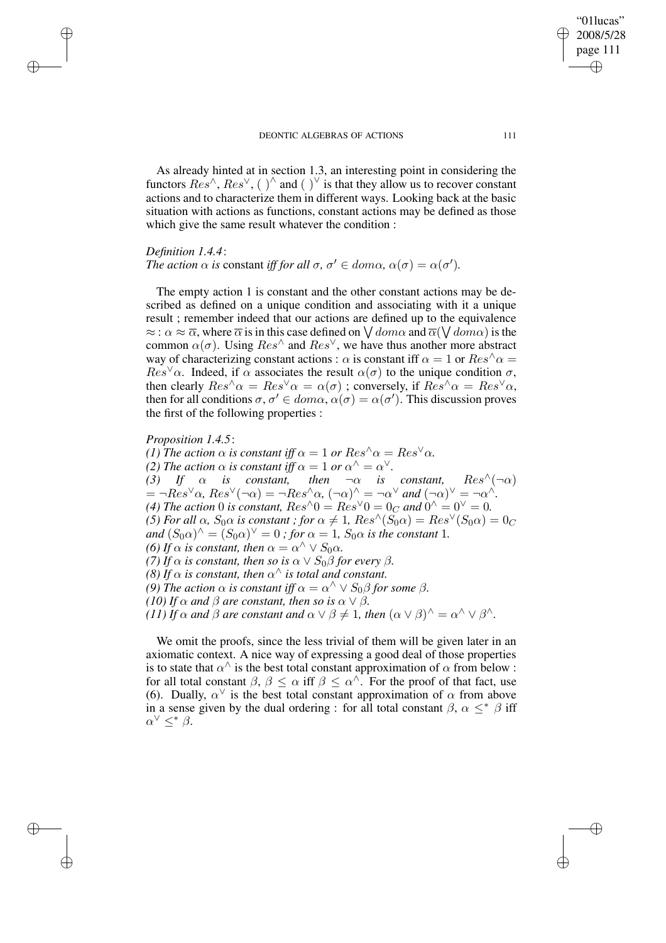As already hinted at in section 1.3, an interesting point in considering the functors  $Res^{\wedge}$ ,  $Res^{\vee}$ , ( )<sup> $\wedge$ </sup> and ( )<sup> $\vee$ </sup> is that they allow us to recover constant actions and to characterize them in different ways. Looking back at the basic situation with actions as functions, constant actions may be defined as those which give the same result whatever the condition :

### *Definition 1.4.4*:

✐

✐

✐

✐

# *The action*  $\alpha$  *is* constant *iff for all*  $\sigma$ *,*  $\sigma' \in dom \alpha$ *,*  $\alpha(\sigma) = \alpha(\sigma')$ *.*

The empty action 1 is constant and the other constant actions may be described as defined on a unique condition and associating with it a unique result ; remember indeed that our actions are defined up to the equivalence  $\approx$  :  $\alpha \approx \overline{\alpha}$ , where  $\overline{\alpha}$  is in this case defined on  $\bigvee dom\alpha$  and  $\overline{\alpha}(\bigvee dom\alpha)$  is the common  $\alpha(\sigma)$ . Using  $Res^{\wedge}$  and  $Res^{\vee}$ , we have thus another more abstract way of characterizing constant actions :  $\alpha$  is constant iff  $\alpha = 1$  or  $\text{Res}^{\wedge} \alpha =$  $Res^{\vee}\alpha$ . Indeed, if  $\alpha$  associates the result  $\alpha(\sigma)$  to the unique condition  $\sigma$ , then clearly  $Res^{\wedge} \alpha = Res^{\vee} \alpha = \alpha(\sigma)$ ; conversely, if  $Res^{\wedge} \alpha = Res^{\vee} \alpha$ , then for all conditions  $\sigma, \sigma' \in dom\alpha, \alpha(\sigma) = \alpha(\sigma')$ . This discussion proves the first of the following properties :

### *Proposition 1.4.5*:

*(1) The action*  $\alpha$  *is constant iff*  $\alpha = 1$  *or*  $Res^{\wedge} \alpha = Res^{\vee} \alpha$ *. (2) The action*  $\alpha$  *is constant iff*  $\alpha = 1$  *or*  $\alpha^{\wedge} = \alpha^{\vee}$ *. (3)* If  $\alpha$  *is constant, then*  $\neg \alpha$  *is constant,*  $Res^{\wedge}(\neg \alpha)$  $= \neg Res^{\vee} \alpha$ ,  $Res^{\vee}(\neg \alpha) = \neg Res^{\wedge} \alpha$ ,  $(\neg \alpha)^{\wedge} = \neg \alpha^{\vee}$  *and*  $(\neg \alpha)^{\vee} = \neg \alpha^{\wedge}$ *.* (4) The action 0 is constant,  $Res^{\wedge}0 = Res^{\vee}0 = 0_C$  and  $0^{\wedge} = 0^{\vee} = 0$ . *(5) For all*  $\alpha$ *,*  $S_0 \alpha$  *is constant ; for*  $\alpha \neq 1$ *,*  $Res^{\wedge}(S_0 \alpha) = Res^{\vee}(S_0 \alpha) = 0_C$ *and*  $(S_0 \alpha)^\wedge = (S_0 \alpha)^\vee = 0$  *; for*  $\alpha = 1$ *,*  $S_0 \alpha$  *is the constant* 1*. (6) If*  $\alpha$  *is constant, then*  $\alpha = \alpha^{\wedge} \vee S_0 \alpha$ *. (7) If*  $\alpha$  *is constant, then so is*  $\alpha \vee S_0 \beta$  *for every*  $\beta$ *. (8) If*  $\alpha$  *is constant, then*  $\alpha^{\wedge}$  *is total and constant. (9) The action*  $\alpha$  *is constant iff*  $\alpha = \alpha^{\wedge} \vee S_0 \beta$  *for some*  $\beta$ *. (10) If*  $\alpha$  *and*  $\beta$  *are constant, then so is*  $\alpha \vee \beta$ *. (11) If*  $\alpha$  *and*  $\beta$  *are constant and*  $\alpha \vee \beta \neq 1$ *, then*  $(\alpha \vee \beta)^{\wedge} = \alpha^{\wedge} \vee \beta^{\wedge}$ *.* 

We omit the proofs, since the less trivial of them will be given later in an axiomatic context. A nice way of expressing a good deal of those properties is to state that  $\alpha^{\wedge}$  is the best total constant approximation of  $\alpha$  from below : for all total constant  $\beta$ ,  $\beta \leq \alpha$  iff  $\beta \leq \alpha^{\wedge}$ . For the proof of that fact, use (6). Dually,  $\alpha^{\vee}$  is the best total constant approximation of  $\alpha$  from above in a sense given by the dual ordering : for all total constant  $\beta$ ,  $\alpha \leq^* \beta$  iff  $\alpha^{\vee} \leq^* \beta$ .

"01lucas" 2008/5/28 page 111

✐

✐

✐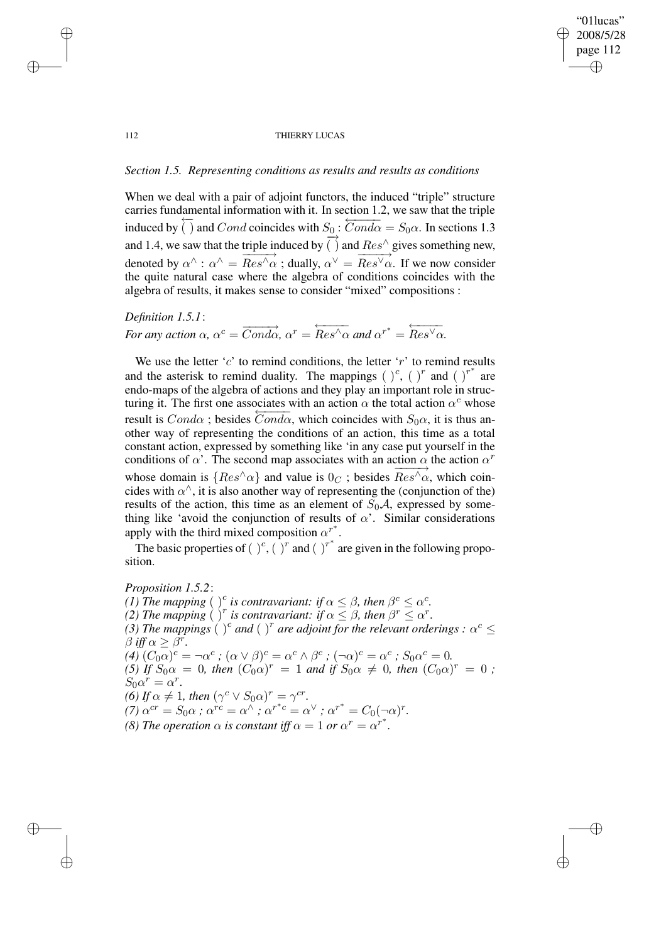## "01lucas" 2008/5/28 page 112 ✐ ✐

✐

✐

#### 112 THIERRY LUCAS

# *Section 1.5. Representing conditions as results and results as conditions*

✐

✐

✐

✐

When we deal with a pair of adjoint functors, the induced "triple" structure carries fundamental information with it. In section 1.2, we saw that the triple induced by  $\frac{1}{\sqrt{2}}$  $\frac{1}{\Gamma}$  and Cond coincides with  $S_0$ :  $\overline{Cond\alpha} = S_0\alpha$ . In sections 1.3 and 1.4, we saw that the triple induced by  $\overrightarrow{()}$  and  $\overrightarrow{Res}$  gives something new, denoted by  $\alpha^{\wedge}$  :  $\alpha^{\wedge} = \overline{Res^{\wedge} \alpha}$ ; dually,  $\alpha^{\vee} = \overline{Res^{\vee} \alpha}$ . If we now consider the quite natural case where the algebra of conditions coincides with the algebra of results, it makes sense to consider "mixed" compositions :

*Definition 1.5.1*: *For any action*  $\alpha$ ,  $\alpha^c = \overrightarrow{Cond\alpha}$ ,  $\alpha^r = \overleftarrow{Res'\alpha}$  and  $\alpha^{r^*} =$  $\overleftarrow{Res}^{\vee}\alpha$ .

We use the letter ' $c$ ' to remind conditions, the letter ' $r$ ' to remind results and the asterisk to remind duality. The mappings  $(\cdot)^c$ ,  $(\cdot)^r$  and  $(\cdot)^{r^*}$  are endo-maps of the algebra of actions and they play an important role in structuring it. The first one associates with an action  $\alpha$  the total action  $\alpha^c$  whose result is  $Cond\alpha$ ; besides  $\overline{Cond\alpha}$ , which coincides with  $S_0\alpha$ , it is thus another way of representing the conditions of an action, this time as a total constant action, expressed by something like 'in any case put yourself in the conditions of  $\alpha'$ . The second map associates with an action  $\alpha$  the action  $\alpha^r$ whose domain is  $\{Res^{\wedge}\alpha\}$  and value is  $0<sup>C</sup>$ ; besides  $Res^{\wedge}\alpha$ , which coincides with  $\alpha^{\wedge}$ , it is also another way of representing the (conjunction of the) results of the action, this time as an element of  $S_0A$ , expressed by something like 'avoid the conjunction of results of  $\alpha$ '. Similar considerations apply with the third mixed composition  $\alpha^{r^*}$ .

The basic properties of  $(\ )^c$ ,  $(\ )^r$  and  $(\ )^r^*$  are given in the following proposition.

*Proposition 1.5.2*: *(1) The mapping* ( )<sup>c</sup> is contravariant: if  $\alpha \leq \beta$ , then  $\beta^{c} \leq \alpha^{c}$ . (2) *The mapping* ( )<sup>*r*</sup> *is contravariant: if*  $\alpha \leq \beta$ , *then*  $\beta^r \leq \alpha^r$ . (3) The mappings ( )<sup>c</sup> and ( )<sup>r</sup> are adjoint for the relevant orderings :  $\alpha^c \le$  $\beta$  *iff*  $\alpha \geq \beta^r$ .  $(4)$   $(C_0\alpha)^c = \neg \alpha^c$ ;  $(\alpha \vee \beta)^c = \alpha^c \wedge \beta^c$ ;  $(\neg \alpha)^c = \alpha^c$ ;  $S_0\alpha^c = 0$ .  $(5)$  *If*  $S_0 \alpha = 0$ , *then*  $(C_0 \alpha)^r = 1$  *and if*  $S_0 \alpha \neq 0$ , *then*  $(C_0 \alpha)^r = 0$ ;  $S_0 \alpha^r = \alpha^r.$ *(6) If*  $\alpha \neq 1$ *, then*  $(\gamma^c \vee S_0 \alpha)^r = \gamma^{cr}$ *.*  $\alpha^{cr} = S_0 \alpha$  *;*  $\alpha^{rc} = \alpha^{\wedge}$  *;*  $\alpha^{r^*c} = \alpha^{\vee}$  *;*  $\alpha^{r^*} = C_0(-\alpha)^r$ *. (8) The operation*  $\alpha$  *is constant iff*  $\alpha = 1$  *or*  $\alpha^r = \alpha^{r^*}.$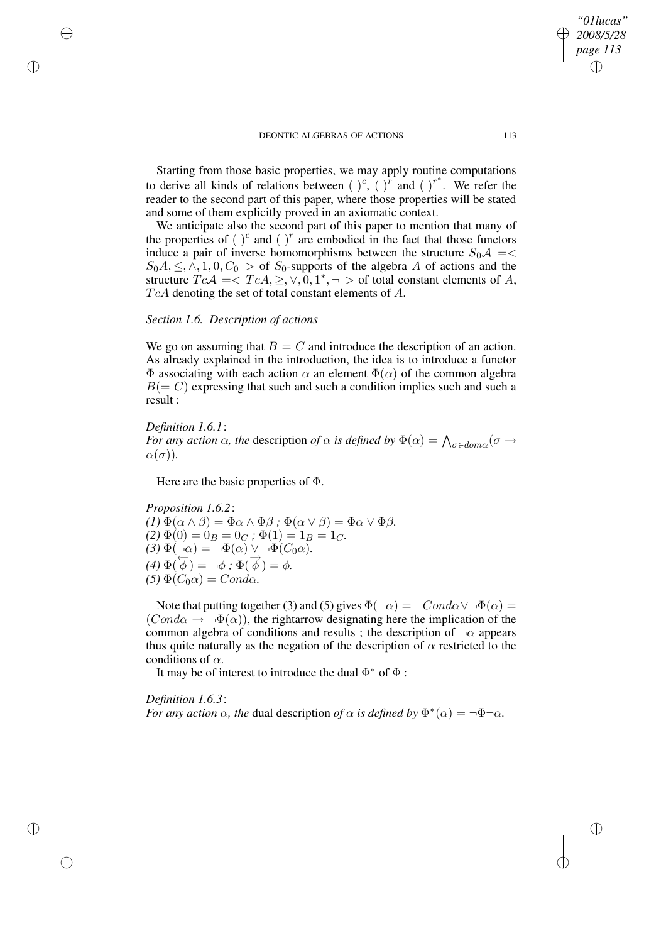Starting from those basic properties, we may apply routine computations to derive all kinds of relations between  $(\cdot)^c$ ,  $(\cdot)^r$  and  $(\cdot)^{r^*}$ . We refer the reader to the second part of this paper, where those properties will be stated and some of them explicitly proved in an axiomatic context.

We anticipate also the second part of this paper to mention that many of the properties of  $\int_{0}^{c}$  and  $\int_{0}^{r}$  are embodied in the fact that those functors induce a pair of inverse homomorphisms between the structure  $S_0 \mathcal{A} = \langle \rangle$  $S_0A, \leq, \wedge, 1, 0, C_0 >$  of  $S_0$ -supports of the algebra A of actions and the structure  $TcA = \langle TcA, \geq, \vee, 0, 1^*, \neg \rangle$  of total constant elements of A,  $TcA$  denoting the set of total constant elements of  $A$ .

### *Section 1.6. Description of actions*

We go on assuming that  $B = C$  and introduce the description of an action. As already explained in the introduction, the idea is to introduce a functor  $\Phi$  associating with each action  $\alpha$  an element  $\Phi(\alpha)$  of the common algebra  $B(= C)$  expressing that such and such a condition implies such and such a result :

### *Definition 1.6.1*:

✐

✐

✐

✐

*For any action*  $\alpha$ *, the description of*  $\alpha$  *is defined by*  $\Phi(\alpha) = \bigwedge_{\sigma \in dom \alpha} (\sigma \to$  $\alpha(\sigma)$ ).

Here are the basic properties of  $\Phi$ .

*Proposition 1.6.2*:  $(I) \Phi(\alpha \wedge \beta) = \Phi \alpha \wedge \Phi \beta$ ;  $\Phi(\alpha \vee \beta) = \Phi \alpha \vee \Phi \beta$ .  $(2) \Phi(0) = 0_B = 0_C$ ;  $\Phi(1) = 1_B = 1_C$ .  $(3) \Phi(\neg \alpha) = \neg \Phi(\alpha) \vee \neg \Phi(C_0 \alpha)$ .  $(4) \Phi(\vec{\phi}) = \neg \phi$ ;  $\Phi(\vec{\phi}) = \phi$ .  $(5) \Phi(C_0 \alpha) = Cond \alpha$ .

Note that putting together (3) and (5) gives  $\Phi(\neg \alpha) = \neg Cond\alpha \vee \neg \Phi(\alpha) =$  $(Cond\alpha \rightarrow \neg \Phi(\alpha))$ , the rightarrow designating here the implication of the common algebra of conditions and results ; the description of  $\neg \alpha$  appears thus quite naturally as the negation of the description of  $\alpha$  restricted to the conditions of  $\alpha$ .

It may be of interest to introduce the dual  $\Phi^*$  of  $\Phi$ :

*Definition 1.6.3*: *For any action*  $\alpha$ *, the dual description of*  $\alpha$  *is defined by*  $\Phi^*(\alpha) = \neg \Phi \neg \alpha$ *.* 

*"01lucas" 2008/5/28 page 113*

✐

✐

✐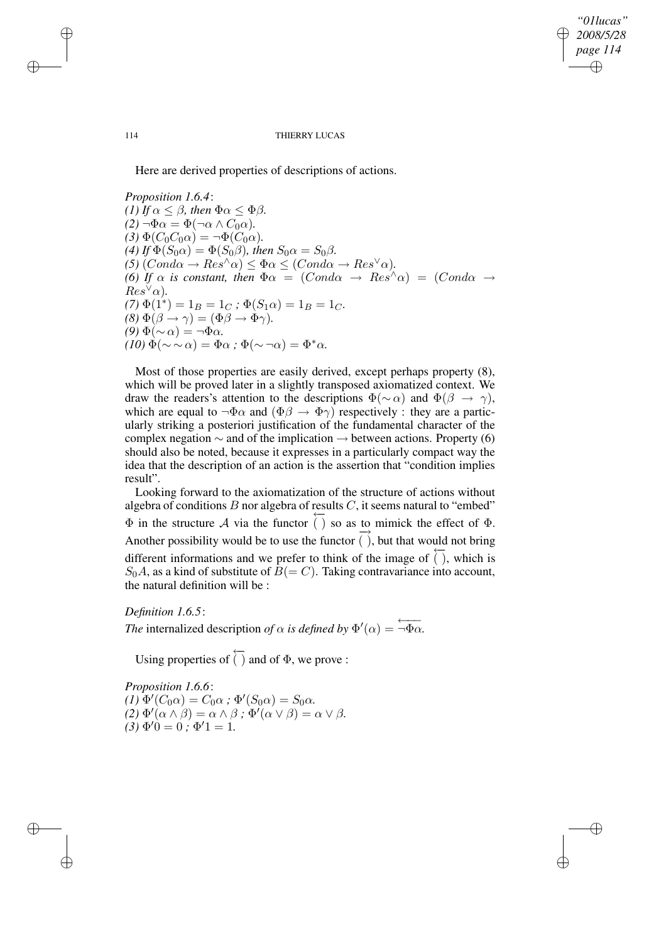*"01lucas" 2008/5/28 page 114* ✐ ✐

✐

✐

#### 114 THIERRY LUCAS

Here are derived properties of descriptions of actions.

*Proposition 1.6.4*: *(1) If*  $\alpha \leq \beta$ *, then*  $\Phi \alpha \leq \Phi \beta$ *.*  $(2) \neg \Phi \alpha = \Phi(\neg \alpha \wedge C_0 \alpha).$  $(3) \Phi(C_0C_0\alpha) = \neg \Phi(C_0\alpha).$ (4) If  $\Phi(S_0 \alpha) = \Phi(S_0 \beta)$ , then  $S_0 \alpha = S_0 \beta$ .  $(5)$   $(Cond\alpha \rightarrow Res^{\wedge}\alpha) \leq \Phi \alpha \leq (Cond\alpha \rightarrow Res^{\vee}\alpha)$ . *(6) If*  $\alpha$  *is constant, then*  $\Phi \alpha = (Cond \alpha \rightarrow Res^{\wedge} \alpha) = (Cond \alpha \rightarrow Res^{\wedge} \alpha)$  $Res^{\vee}\alpha$ ).  $(7) \Phi(1^*) = 1_B = 1_C$ ;  $\Phi(S_1 \alpha) = 1_B = 1_C$ .  $(8) \Phi(\beta \to \gamma) = (\Phi \beta \to \Phi \gamma).$  $(9)$   $Φ(∼ α) = ¬Φα$ .  $(10) \Phi(\sim \sim \alpha) = \Phi \alpha$  ;  $\Phi(\sim \neg \alpha) = \Phi^* \alpha$ .

Most of those properties are easily derived, except perhaps property (8), which will be proved later in a slightly transposed axiomatized context. We draw the readers's attention to the descriptions  $\Phi(\sim \alpha)$  and  $\Phi(\beta \to \gamma)$ , which are equal to  $\neg \Phi \alpha$  and  $(\Phi \beta \rightarrow \Phi \gamma)$  respectively : they are a particularly striking a posteriori justification of the fundamental character of the complex negation  $\sim$  and of the implication  $\rightarrow$  between actions. Property (6) should also be noted, because it expresses in a particularly compact way the idea that the description of an action is the assertion that "condition implies result".

Looking forward to the axiomatization of the structure of actions without algebra of conditions  $B$  nor algebra of results  $C$ , it seems natural to "embed"  $\Phi$  in the structure  $\mathcal A$  via the functor  $\frac{1}{\sqrt{2}}$ () so as to mimick the effect of  $\Phi$ . Another possibility would be to use the functor  $\frac{1}{\sqrt{2}}$ ( ), but that would not bring different informations and we prefer to think of the image of ←− ( ), which is  $S_0A$ , as a kind of substitute of  $B(= C)$ . Taking contravariance into account, the natural definition will be :

*Definition 1.6.5*: *The* internalized description *of*  $\alpha$  *is defined by*  $\Phi'(\alpha) = \overleftarrow{\neg \Phi \alpha}$ .

Using properties of ←−  $( )$  and of  $\Phi$ , we prove :

*Proposition 1.6.6*:  $(I) \Phi'(C_0 \alpha) = C_0 \alpha$ ;  $\Phi'(S_0 \alpha) = S_0 \alpha$ .  $(2) \Phi'(\alpha \wedge \beta) = \alpha \wedge \beta$ ;  $\Phi'(\alpha \vee \beta) = \alpha \vee \beta$ .  $(3) \Phi' 0 = 0$ ;  $\Phi' 1 = 1$ .

✐

✐

✐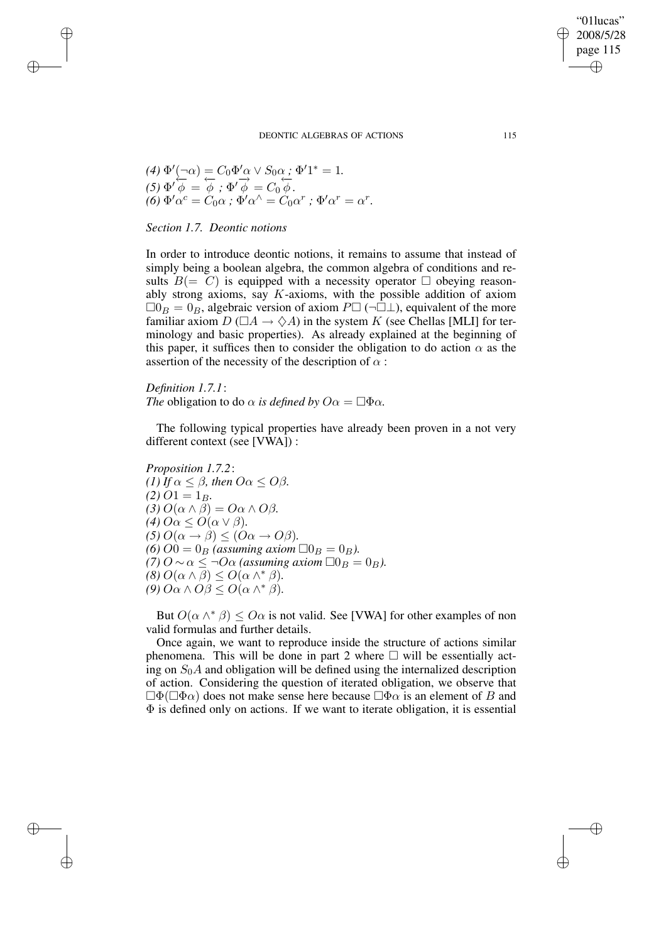(4) 
$$
\Phi'(\neg \alpha) = C_0 \Phi' \alpha \vee S_0 \alpha
$$
;  $\Phi' 1^* = 1$ .  
\n(5)  $\Phi' \overline{\phi} = \overline{\phi}$ ;  $\Phi' \overrightarrow{\phi} = C_0 \overline{\phi}$ .  
\n(6)  $\Phi' \alpha^c = C_0 \alpha$ ;  $\Phi' \alpha^{\wedge} = C_0 \alpha^r$ ;  $\Phi' \alpha^r = \alpha^r$ .

# *Section 1.7. Deontic notions*

✐

✐

✐

✐

In order to introduce deontic notions, it remains to assume that instead of simply being a boolean algebra, the common algebra of conditions and results  $B(= C)$  is equipped with a necessity operator  $\Box$  obeying reasonably strong axioms, say  $K$ -axioms, with the possible addition of axiom  $\Box 0_B = 0_B$ , algebraic version of axiom  $P \Box (\neg \Box \bot)$ , equivalent of the more familiar axiom  $D(\Box A \rightarrow \Diamond A)$  in the system K (see Chellas [MLI] for terminology and basic properties). As already explained at the beginning of this paper, it suffices then to consider the obligation to do action  $\alpha$  as the assertion of the necessity of the description of  $\alpha$ :

# *Definition 1.7.1*: *The* obligation to do  $\alpha$  *is defined by*  $O\alpha = \Box \Phi \alpha$ *.*

The following typical properties have already been proven in a not very different context (see [VWA]) :

*Proposition 1.7.2*: *(1) If*  $\alpha \leq \beta$ *, then*  $O\alpha \leq O\beta$ *.*  $(2)$  O1 = 1<sub>B</sub>.  $(3)$   $O(\alpha \wedge \beta) = O\alpha \wedge O\beta$ . (4)  $O\alpha \leq O(\alpha \vee \beta)$ .  $(5) O(\alpha \rightarrow \beta) < (O\alpha \rightarrow O\beta)$ . *(6)*  $O0 = 0_B$  *(assuming axiom*  $\Box 0_B = 0_B$ *). (7)*  $O ∼ α ≤ ¬Oα$  *(assuming axiom*  $\Box 0_B = 0_B$ *).*  $(8)$   $O(\alpha \wedge \beta) \leq O(\alpha \wedge^* \beta)$ .  $(9)$   $O\alpha \wedge O\beta \leq O(\alpha \wedge^* \beta)$ .

But  $O(\alpha \wedge^* \beta) \leq O\alpha$  is not valid. See [VWA] for other examples of non valid formulas and further details.

Once again, we want to reproduce inside the structure of actions similar phenomena. This will be done in part 2 where  $\Box$  will be essentially acting on  $S_0A$  and obligation will be defined using the internalized description of action. Considering the question of iterated obligation, we observe that  $\Box \Phi(\Box \Phi \alpha)$  does not make sense here because  $\Box \Phi \alpha$  is an element of B and  $\Phi$  is defined only on actions. If we want to iterate obligation, it is essential

"01lucas" 2008/5/28 page 115

✐

✐

✐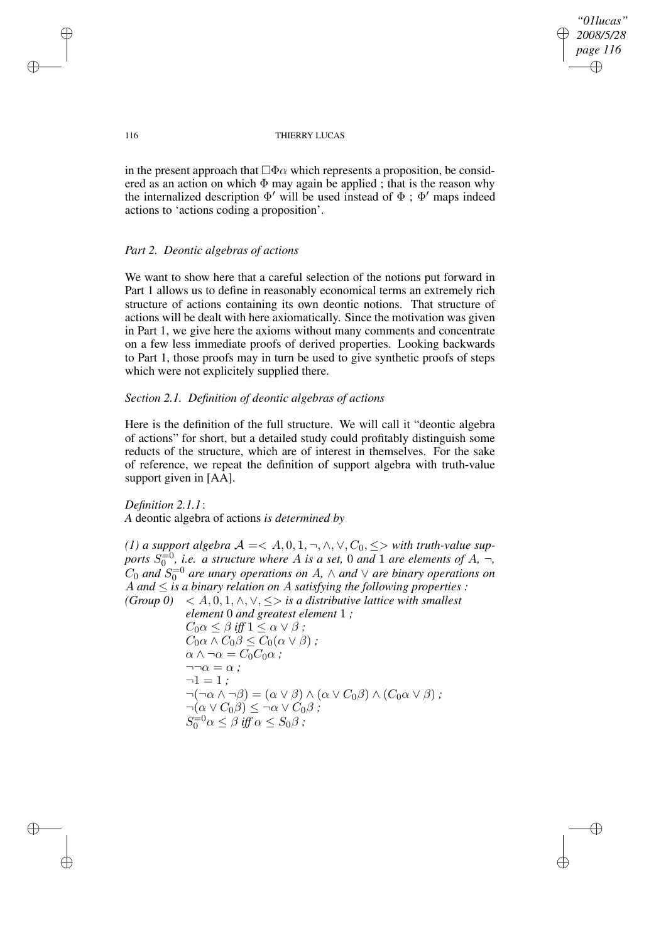*"01lucas" 2008/5/28 page 116* ✐ ✐

✐

✐

#### 116 THIERRY LUCAS

in the present approach that  $\Box \Phi \alpha$  which represents a proposition, be considered as an action on which  $\Phi$  may again be applied; that is the reason why the internalized description  $\Phi'$  will be used instead of  $\Phi$ ;  $\Phi'$  maps indeed actions to 'actions coding a proposition'.

# *Part 2. Deontic algebras of actions*

We want to show here that a careful selection of the notions put forward in Part 1 allows us to define in reasonably economical terms an extremely rich structure of actions containing its own deontic notions. That structure of actions will be dealt with here axiomatically. Since the motivation was given in Part 1, we give here the axioms without many comments and concentrate on a few less immediate proofs of derived properties. Looking backwards to Part 1, those proofs may in turn be used to give synthetic proofs of steps which were not explicitely supplied there.

# *Section 2.1. Definition of deontic algebras of actions*

Here is the definition of the full structure. We will call it "deontic algebra of actions" for short, but a detailed study could profitably distinguish some reducts of the structure, which are of interest in themselves. For the sake of reference, we repeat the definition of support algebra with truth-value support given in [AA].

## *Definition 2.1.1*:

*A* deontic algebra of actions *is determined by*

*(1) a* support algebra  $A = < A, 0, 1, \neg, \wedge, \vee, C_0, \leq>$  with truth-value sup*ports*  $S_0^{\text{=}0}$ , *i.e. a structure where A is a set*, 0 *and* 1 *are elements of A*,  $\neg$ ,  $C_0$  and  $S_0^{\pm 0}$  are unary operations on A,  $\wedge$  and  $\vee$  are binary operations on A and  $\leq$  *is a binary relation on A satisfying the following properties :*  $(Group 0) < A, 0, 1, \land, \lor, \leq > is a distributive lattice with smallest$ *element* 0 *and greatest element* 1 *;*  $C_0 \alpha \leq \beta$  *iff*  $1 \leq \alpha \vee \beta$  *;*  $C_0\alpha \wedge C_0\beta \leq C_0(\alpha \vee \beta)$ ;  $\alpha \wedge \neg \alpha = C_0 C_0 \alpha$ ;  $\neg\neg\alpha = \alpha$  :  $\neg 1 = 1$ ;  $\neg(\neg\alpha \wedge \neg\beta) = (\alpha \vee \beta) \wedge (\alpha \vee C_0\beta) \wedge (C_0\alpha \vee \beta)$ ;  $\neg(\alpha \vee C_0 \beta) \leq \neg \alpha \vee C_0 \beta$ ;  $S_0=0$   $\alpha \leq \beta$  *iff*  $\alpha \leq S_0$  $\beta$  *;* 

✐

✐

✐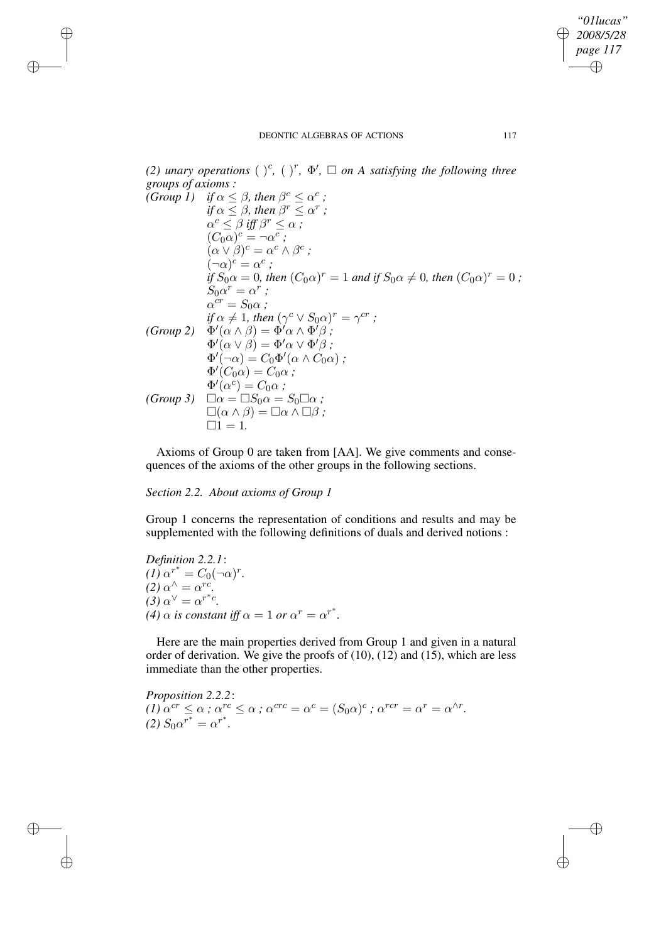*"01lucas" 2008/5/28 page 117* ✐ ✐

✐

✐

*(2) unary operations*  $(\ )^c$ ,  $(\ )^r$ ,  $\Phi'$ ,  $\square$  *on A satisfying the following three groups of axioms :* c

(Group I) if 
$$
\alpha \leq \beta
$$
, then  $\beta^c \leq \alpha^c$ ;

\n
$$
if \alpha \leq \beta, then \beta^r \leq \alpha^r;
$$
\n
$$
\alpha^c \leq \beta \text{ iff } \beta^r \leq \alpha \text{ ;}
$$
\n
$$
(C_0\alpha)^c = \neg \alpha^c ;
$$
\n
$$
(\alpha \vee \beta)^c = \alpha^c \wedge \beta^c ;
$$
\n
$$
(\neg \alpha)^c = \alpha^c ;
$$
\n
$$
if S_0\alpha = 0, then (C_0\alpha)^r = 1 \text{ and if } S_0\alpha \neq 0, then (C_0\alpha)^r = 0 ;
$$
\n
$$
S_0\alpha^r = \alpha^r ;
$$
\n
$$
\alpha^{cr} = S_0\alpha ;
$$
\n
$$
if \alpha \neq 1, then (\gamma^c \vee S_0\alpha)^r = \gamma^{cr} ;
$$
\n
$$
(Group 2) \quad \Phi'(\alpha \wedge \beta) = \Phi'\alpha \wedge \Phi'\beta ;
$$
\n
$$
\Phi'(\alpha \vee \beta) = \Phi'\alpha \vee \Phi'\beta ;
$$
\n
$$
\Phi'(\neg \alpha) = C_0\Phi'(\alpha \wedge C_0\alpha) ;
$$
\n
$$
\Phi'(\alpha^c) = C_0\alpha ;
$$
\n
$$
\Phi'(\alpha^c) = C_0\alpha ;
$$
\n
$$
\Phi'(\alpha^c) = C_0\alpha ;
$$
\n
$$
\Box(\alpha \wedge \beta) = \Box \alpha \wedge \Box \beta ;
$$
\n
$$
\Box 1 = 1.
$$

Axioms of Group 0 are taken from [AA]. We give comments and consequences of the axioms of the other groups in the following sections.

*Section 2.2. About axioms of Group 1*

✐

✐

✐

✐

Group 1 concerns the representation of conditions and results and may be supplemented with the following definitions of duals and derived notions :

*Definition 2.2.1*:  $(I) \alpha^{r^*} = C_0 (\neg \alpha)^r$ .  $(2) \alpha^{\wedge} = \alpha^{rc}.$  $(3) \alpha^{\vee} = \alpha^{r^*c}$ . *(4)*  $\alpha$  *is constant iff*  $\alpha = 1$  *or*  $\alpha^r = \alpha^{r^*}.$ 

Here are the main properties derived from Group 1 and given in a natural order of derivation. We give the proofs of  $(10)$ ,  $(12)$  and  $(15)$ , which are less immediate than the other properties.

*Proposition 2.2.2*:  $(1)$   $\alpha^{cr} \leq \alpha$ ;  $\alpha^{rc} \leq \alpha$ ;  $\alpha^{crc} = \alpha^c = (S_0 \alpha)^c$ ;  $\alpha^{rcr} = \alpha^r = \alpha^{\wedge r}$ .  $(2) S_0 \alpha^{r^*} = \alpha^{r^*}.$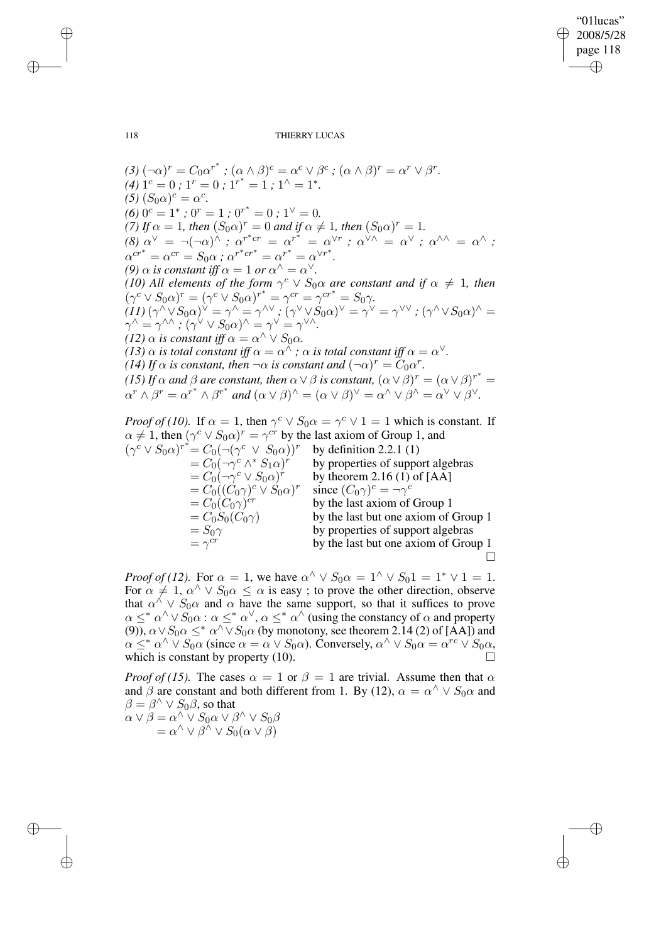✐

✐

118 THIERRY LUCAS

 $(3)$   $(\neg \alpha)^r = C_0 \alpha^{r^*}$ ;  $(\alpha \wedge \beta)^c = \alpha^c \vee \beta^c$ ;  $(\alpha \wedge \beta)^r = \alpha^r \vee \beta^r$ .  $(4)$  1<sup>c</sup> = 0; 1<sup>r</sup> = 0; 1<sup>r\*</sup> = 1; 1<sup> $\wedge$ </sup> = 1<sup>\*</sup>.  $\int (5)(S_0\alpha)^c = \alpha^c.$  $(6)$   $0^c = 1^*$ ;  $0^r = 1$ ;  $0^{r^*} = 0$ ;  $1^{\vee} = 0$ . *(7) If*  $\alpha = 1$ *, then*  $(S_0 \alpha)^r = 0$  *and if*  $\alpha \neq 1$ *, then*  $(S_0 \alpha)^r = 1$ *.*  $\alpha^{(8)} \alpha^{(8)} = \neg(\neg \alpha)^{\hat{\wedge}}$  *;*  $\alpha^{r^*cr} = \alpha^{r^*} = \alpha^{\vee r}$  *;*  $\alpha^{\dot{\vee} \wedge} = \alpha^{\vee}$  *;*  $\alpha^{\wedge \wedge} = \alpha^{\wedge}$  *;*  $\alpha^{cr^*} = \alpha^{cr} = S_0 \alpha$ ;  $\alpha^{r^*cr^*} = \alpha^{r^*} = \alpha^{\vee r^*}.$ *(9)*  $\alpha$  *is constant iff*  $\alpha = 1$  *or*  $\alpha^{\wedge} = \alpha^{\vee}$ *. (10) All elements of the form*  $\gamma^{c} \vee S_{0} \alpha$  *are constant and if*  $\alpha \neq 1$ *, then*  $(\gamma^c \vee S_0 \alpha)^r = (\gamma^c \vee S_0 \alpha)^{r^*} = \gamma^{cr} = \gamma^{cr^*} = S_0 \gamma.$  $\chi^2_1(I1)(\gamma^\wedge\sqrt{S_0\alpha})^\vee=\gamma^\wedge=\gamma^{\wedge\vee}$  ;  $(\gamma^\vee\vee S_0\alpha)^\vee=\gamma^\vee=\gamma^{\vee\vee}$  ;  $(\gamma^\wedge\vee S_0\alpha)^\wedge=\gamma^\vee$  $\gamma^\wedge = \gamma^{\wedge\wedge}$  ;  $(\gamma^\vee \vee S_0 \alpha)^\wedge = \gamma^\vee = \gamma^{\vee\wedge}.$ *(12)*  $\alpha$  *is constant iff*  $\alpha = \alpha^{\wedge} \vee S_0 \alpha$ *. (13)*  $\alpha$  *is total constant iff*  $\alpha = \alpha^{\wedge}$  *;*  $\alpha$  *is total constant iff*  $\alpha = \alpha^{\vee}$ *. (14)* If  $\alpha$  is constant, then  $\neg \alpha$  is constant and  $(\neg \alpha)^r = C_0 \alpha^r$ . *(15) If*  $\alpha$  *and*  $\beta$  *are constant, then*  $\alpha \vee \beta$  *is constant,*  $(\alpha \vee \beta)^r = (\alpha \vee \beta)^{r^*} =$  $\alpha^r \wedge \beta^r = \alpha^{r^*} \wedge \beta^{r^*}$  and  $(\alpha \vee \beta)^{\wedge} = (\alpha \vee \beta)^{\vee} = \alpha^{\wedge} \vee \beta^{\wedge} = \alpha^{\vee} \vee \beta^{\vee}$ . *Proof of (10).* If  $\alpha = 1$ , then  $\gamma^c \vee S_0 \alpha = \gamma^c \vee 1 = 1$  which is constant. If

 $\alpha \neq 1$ , then  $(\gamma^c \vee S_0 \alpha)^r = \gamma^{cr}$  by the last axiom of Group 1, and  $(\gamma^c \vee S_0 \alpha)^{r^*} = C_0(\neg(\gamma$ by definition  $2.2.1(1)$  $=C_0(\neg \gamma^c \wedge^* S_1 \alpha)$ by properties of support algebras  $= C_0(\neg \gamma^c \vee S_0 \alpha)$ by theorem 2.16 (1) of  $[AA]$  $=C_0((C_0\gamma)^c\vee S_0\alpha)^r$ since  $(C_0 \gamma)^c = \neg \gamma^c$  $=C_0(C_0\gamma)^{cr}$ by the last axiom of Group 1  $= C_0S_0(C_0\gamma)$  by the last but one axiom of Group 1  $= S_0 \gamma$  by properties of support algebras  $=\gamma^{cr}$ by the last but one axiom of Group 1  $\Box$ 

*Proof of* (12). For  $\alpha = 1$ , we have  $\alpha^{\wedge} \vee S_0 \alpha = 1^{\wedge} \vee S_0 1 = 1^* \vee 1 = 1$ . For  $\alpha \neq 1$ ,  $\alpha^{\wedge} \vee S_0 \alpha \leq \alpha$  is easy; to prove the other direction, observe that  $\alpha^{\hat{\wedge}} \vee S_0 \alpha$  and  $\alpha$  have the same support, so that it suffices to prove  $\alpha \leq^* \alpha^{\wedge} \vee S_0 \alpha$ :  $\alpha \leq^* \alpha^{\vee}$ ,  $\alpha \leq^* \alpha^{\wedge}$  (using the constancy of  $\alpha$  and property (9)),  $\alpha \vee S_0 \alpha \leq^* \alpha \wedge \vee S_0 \alpha$  (by monotony, see theorem 2.14 (2) of [AA]) and  $\alpha \leq^* \alpha^{\wedge} \vee S_0 \alpha$  (since  $\alpha = \alpha \vee S_0 \alpha$ ). Conversely,  $\alpha^{\wedge} \vee S_0 \alpha = \alpha^{rc} \vee S_0 \alpha$ , which is constant by property (10).  $\Box$ 

*Proof of (15).* The cases  $\alpha = 1$  or  $\beta = 1$  are trivial. Assume then that  $\alpha$ and  $\beta$  are constant and both different from 1. By (12),  $\alpha = \alpha^{\hat{\wedge}} \vee S_0 \alpha$  and  $\beta = \beta^{\wedge} \vee S_0 \beta$ , so that

 $\alpha \vee \beta = \alpha^\wedge \vee S_0 \alpha \vee \beta^\wedge \vee S_0 \beta$  $= \alpha^{\wedge} \vee \beta^{\wedge} \vee S_0(\alpha \vee \beta)$ 

✐

✐

✐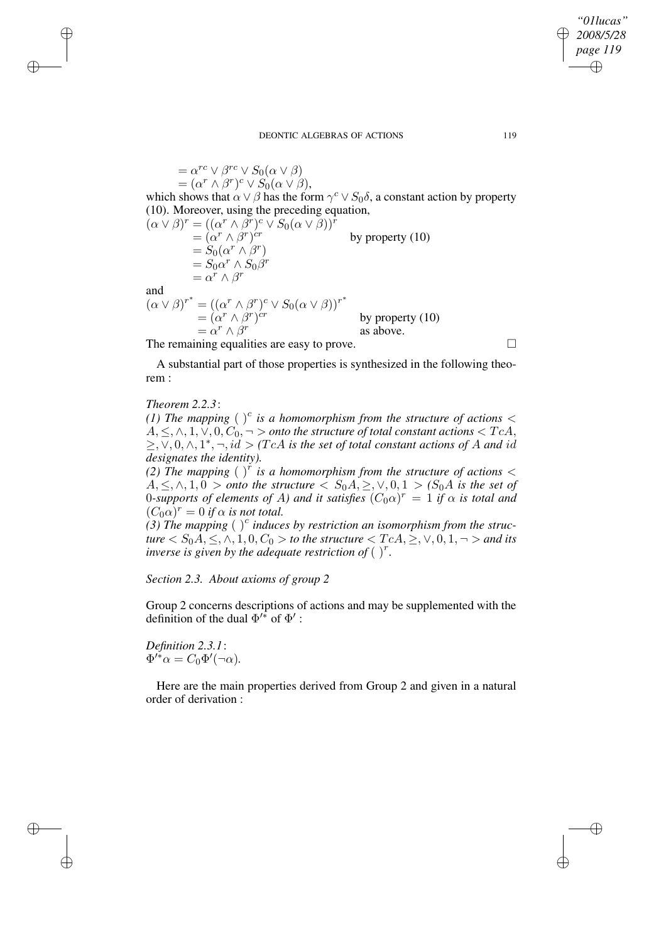### *2008/5/28 page 119* ✐ ✐

*"01lucas"*

✐

✐

 $= \alpha^{rc} \vee \beta^{rc} \vee S_0(\alpha \vee \beta)$  $=(\alpha^r \wedge \beta^r)^c \vee S_0(\alpha \vee \beta),$ which shows that  $\alpha \vee \beta$  has the form  $\gamma^c \vee S_0 \delta$ , a constant action by property (10). Moreover, using the preceding equation,  $(\alpha \vee \beta)^r = ((\alpha^r \wedge \beta^r)^c \vee S_0(\alpha \vee \beta))^r$  $= (\alpha^r \wedge \beta^r)$ by property  $(10)$  $= S_0(\alpha^r \wedge \beta^r)$  $= S_0 \alpha^r \wedge S_0 \beta^r$  $= \alpha^r \wedge \beta^r$ and  $(\alpha \vee \beta)^{r^*} = ((\alpha^r \wedge \beta^r)^c \vee S_0(\alpha \vee \beta))^{r^*}$  $=(\alpha^r \wedge \beta^r)^{cr}$  by property (10)  $= \alpha^r \wedge \beta^r$ 

The remaining equalities are easy to prove.

A substantial part of those properties is synthesized in the following theorem :

as above.

*Theorem 2.2.3*:

✐

✐

✐

✐

*(1)* The mapping  $\left(\right)^{c}$  is a homomorphism from the structure of actions  $\lt$  $A, \leq, \land, 1, \lor, 0, C_0, \neg >$  *onto the structure of total constant actions*  $\lt TcA$ ,  $\geq$ ,  $\vee$ , 0,  $\wedge$ ,  $1^*$ ,  $\neg$ ,  $id > (TcA$  *is the set of total constant actions of A and id designates the identity).*

*(2) The mapping* ( ) r *is a homomorphism from the structure of actions* <  $A, \leq, \wedge, 1, 0 >$  *onto* the structure  $\langle S_0A, \geq, \vee, 0, 1 > (S_0A \text{ is the set of})\rangle$ 0-supports of elements of A) and it satisfies  $(C_0\alpha)^r = 1$  if  $\alpha$  is total and  $(C_0 \alpha)^r = 0$  if  $\alpha$  is not total.

(3) The mapping ( $\int_0^c$  *induces by restriction an isomorphism from the struc* $true < S_0 \overline{A}$ ,  $\leq$ ,  $\wedge$ ,  $1$ ,  $0$ ,  $C_0 >$  *to the structure*  $\leq TcA$ ,  $\geq$ ,  $\vee$ ,  $0$ ,  $1$ ,  $\neg$   $>$  *and its inverse* is given by the adequate restriction of  $\binom{r}{r}$ .

*Section 2.3. About axioms of group 2*

Group 2 concerns descriptions of actions and may be supplemented with the definition of the dual  $\Phi'^*$  of  $\Phi'$ :

*Definition 2.3.1*:  $\Phi'^* \alpha = C_0 \Phi'(\neg \alpha)$ .

Here are the main properties derived from Group 2 and given in a natural order of derivation :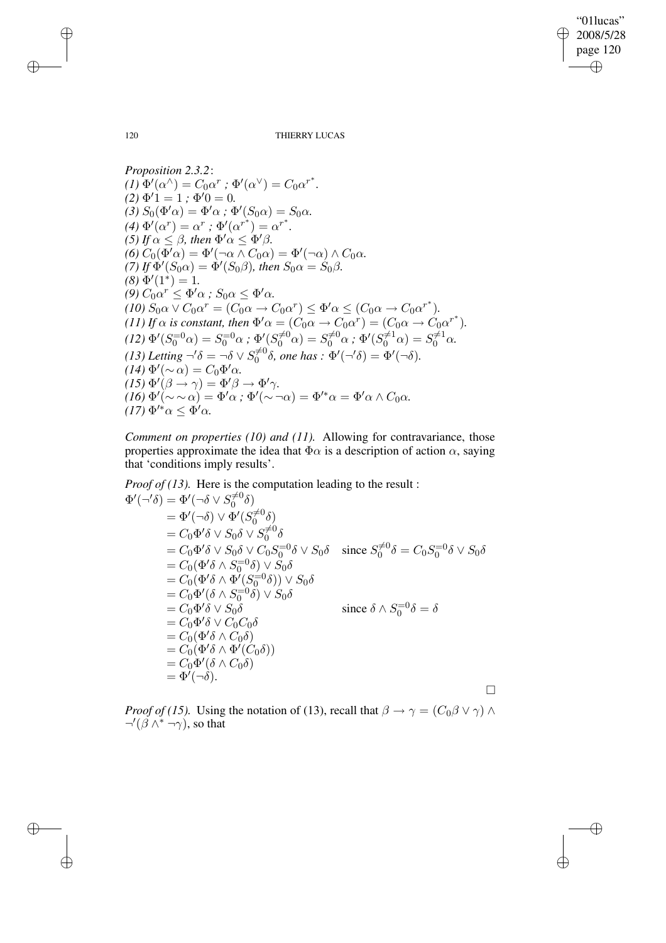"01lucas" 2008/5/28 page 120 ✐ ✐

✐

✐

120 THIERRY LUCAS

*Proposition 2.3.2*:  $(I) \Phi'(\alpha^{\wedge}) = C_0 \alpha^r$ ;  $\Phi'(\alpha^{\vee}) = C_0 \alpha^{r^*}$ .  $(2) \Phi' 1 = 1$ ;  $\Phi' 0 = 0$ .  $(3) S_0(\Phi'\alpha) = \Phi'\alpha$ ;  $\Phi'(S_0\alpha) = S_0\alpha$ .  $(4) \Phi'(\alpha^r) = \alpha^r ; \Phi'(\alpha^{r^*}) = \alpha^{r^*}.$ *(5) If*  $\alpha \leq \beta$ *, then*  $\Phi' \alpha \leq \Phi' \beta$ *.*  $(6) C_0(\Phi'\alpha) = \Phi'(\neg \alpha \wedge C_0\alpha) = \Phi'(\neg \alpha) \wedge C_0\alpha.$ (7) If  $\Phi'(S_0 \alpha) = \Phi'(S_0 \beta)$ , then  $S_0 \alpha = S_0 \beta$ .  $(8) \Phi'(1^*) = 1.$  $\alpha^{(9)} C_0 \alpha^{r} \leq \Phi' \alpha$ ;  $S_0 \alpha \leq \Phi' \alpha$ .  $\overline{(10)} S_0 \alpha \vee C_0 \alpha^r = \overline{(C_0 \alpha \rightarrow C_0 \alpha^r)} \leq \Phi' \alpha \leq (C_0 \alpha \rightarrow C_0 \alpha^{r^*}).$ *(11) If*  $\alpha$  *is constant, then*  $\Phi' \alpha = (C_0 \alpha \rightarrow C_0 \alpha^r) = (C_0 \alpha \rightarrow C_0 \alpha^{r^*})$ *.*  $\delta(12) \, \Phi'(S_0^{-0}\alpha) = S_0^{-0}\alpha \, ; \, \Phi'(S_0^{\neq 0}\alpha) = S_0^{\neq 0}\alpha \, ; \, \Phi'(S_0^{\neq 1}\alpha) = S_0^{\neq 1}\alpha.$ (13) Letting  $\neg^{\prime}\delta = \neg \delta \vee S_{0}^{\neq 0} \delta$ , one has  $:\Phi^{\prime}(\neg^{\prime}\delta) = \Phi^{\prime}(\neg \delta)$ .  $(14) \Phi'(\sim \alpha) = C_0 \Phi' \alpha.$  $(15) \Phi'(\beta \rightarrow \gamma) = \Phi' \beta \rightarrow \Phi' \gamma.$  $(16) \Phi'(\sim \sim \alpha) = \Phi' \alpha$ ;  $\Phi'(\sim \neg \alpha) = \Phi'^* \alpha = \Phi' \alpha \wedge C_0 \alpha$ .  $(17) \Phi^{\prime *} \alpha \leq \Phi^{\prime} \alpha$ .

*Comment on properties (10) and (11).* Allowing for contravariance, those properties approximate the idea that  $\Phi \alpha$  is a description of action  $\alpha$ , saying that 'conditions imply results'.

*Proof of (13).* Here is the computation leading to the result :

$$
\Phi'(\neg'\delta) = \Phi'(\neg\delta \vee S_0^{\neq 0}\delta)
$$
  
\n
$$
= \Phi'(\neg\delta) \vee \Phi'(S_0^{\neq 0}\delta)
$$
  
\n
$$
= C_0 \Phi'\delta \vee S_0 \delta \vee S_0^{\neq 0}\delta
$$
  
\n
$$
= C_0 \Phi'\delta \vee S_0 \delta \vee C_0 S_0^{-1} \delta \vee S_0 \delta \quad \text{since } S_0^{\neq 0}\delta = C_0 S_0^{-1} \delta \vee S_0 \delta
$$
  
\n
$$
= C_0 (\Phi'\delta \wedge S_0^{-1} \delta) \vee S_0 \delta
$$
  
\n
$$
= C_0 (\Phi'\delta \wedge \Phi'(S_0^{-1} \delta)) \vee S_0 \delta
$$
  
\n
$$
= C_0 \Phi'(\delta \wedge S_0^{-1} \delta) \vee S_0 \delta
$$
  
\n
$$
= C_0 \Phi' \delta \vee S_0 \delta
$$
  
\n
$$
= C_0 \Phi' \delta \vee C_0 C_0 \delta
$$
  
\n
$$
= C_0 (\Phi' \delta \wedge C_0 \delta)
$$
  
\n
$$
= C_0 (\Phi' \delta \wedge \Phi'(C_0 \delta))
$$
  
\n
$$
= C_0 \Phi'(\delta \wedge C_0 \delta)
$$
  
\n
$$
= \Phi'(\neg \delta).
$$

*Proof of* (15). Using the notation of (13), recall that  $\beta \rightarrow \gamma = (C_0 \beta \vee \gamma) \wedge$  $\neg'(\beta \wedge^* \neg \gamma)$ , so that

✐

✐

✐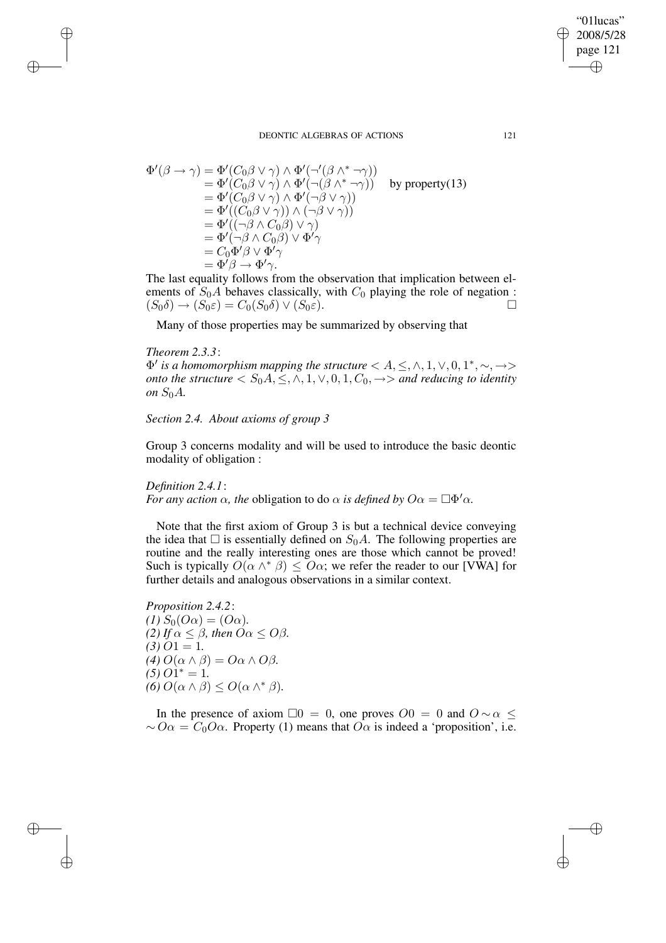$$
\Phi'(\beta \to \gamma) = \Phi'(C_0 \beta \lor \gamma) \land \Phi'(\neg'(\beta \land^* \neg \gamma))
$$
  
\n
$$
= \Phi'(C_0 \beta \lor \gamma) \land \Phi'(\neg(\beta \land^* \neg \gamma))
$$
 by property(13)  
\n
$$
= \Phi'(C_0 \beta \lor \gamma) \land \Phi'(\neg \beta \lor \gamma))
$$
  
\n
$$
= \Phi'((C_0 \beta \lor \gamma)) \land (\neg \beta \lor \gamma))
$$
  
\n
$$
= \Phi'((\neg \beta \land C_0 \beta) \lor \gamma)
$$
  
\n
$$
= \Phi'(\neg \beta \land C_0 \beta) \lor \Phi' \gamma
$$
  
\n
$$
= C_0 \Phi' \beta \lor \Phi' \gamma
$$
  
\n
$$
= \Phi' \beta \to \Phi' \gamma.
$$

The last equality follows from the observation that implication between elements of  $S_0A$  behaves classically, with  $C_0$  playing the role of negation :  $(S_0\delta) \rightarrow (S_0\varepsilon) = C_0(S_0\delta) \vee (S_0\varepsilon).$ 

Many of those properties may be summarized by observing that

#### *Theorem 2.3.3*:

✐

✐

✐

✐

 $\Phi'$  *is a homomorphism mapping the structure*  $\langle A, \leq, \wedge, 1, \vee, 0, 1^*, \sim, \rightarrow>$ *onto the structure*  $\langle S_0A, \leq, \land, 1, \lor, 0, 1, C_0, \rightarrow \rangle$  *and reducing to identity on*  $S_0A$ .

## *Section 2.4. About axioms of group 3*

Group 3 concerns modality and will be used to introduce the basic deontic modality of obligation :

# *Definition 2.4.1*:

*For any action*  $\alpha$ *, the obligation to do*  $\alpha$  *is defined by*  $O\alpha = \Box \Phi' \alpha$ *.* 

Note that the first axiom of Group 3 is but a technical device conveying the idea that  $\Box$  is essentially defined on  $S_0A$ . The following properties are routine and the really interesting ones are those which cannot be proved! Such is typically  $O(\alpha \wedge^* \beta) \leq O\alpha$ ; we refer the reader to our [VWA] for further details and analogous observations in a similar context.

*Proposition 2.4.2*:  $(I) S_0(O\alpha) = (O\alpha)$ . *(2) If*  $\alpha \leq \beta$ *, then*  $O\alpha \leq O\beta$ *.*  $(3)$   $O1 = 1$ .  $(4)$   $O(\alpha \wedge \beta) = O\alpha \wedge O\beta$ .  $(5)$   $O1^* = 1$ . (6)  $O(\alpha \wedge \beta) \leq O(\alpha \wedge^* \beta)$ .

In the presence of axiom  $\Box 0 = 0$ , one proves  $O = 0$  and  $O \sim \alpha$  ≤  $\sim O\alpha = C_0O\alpha$ . Property (1) means that  $O\alpha$  is indeed a 'proposition', i.e.

"01lucas" 2008/5/28 page 121

✐

✐

✐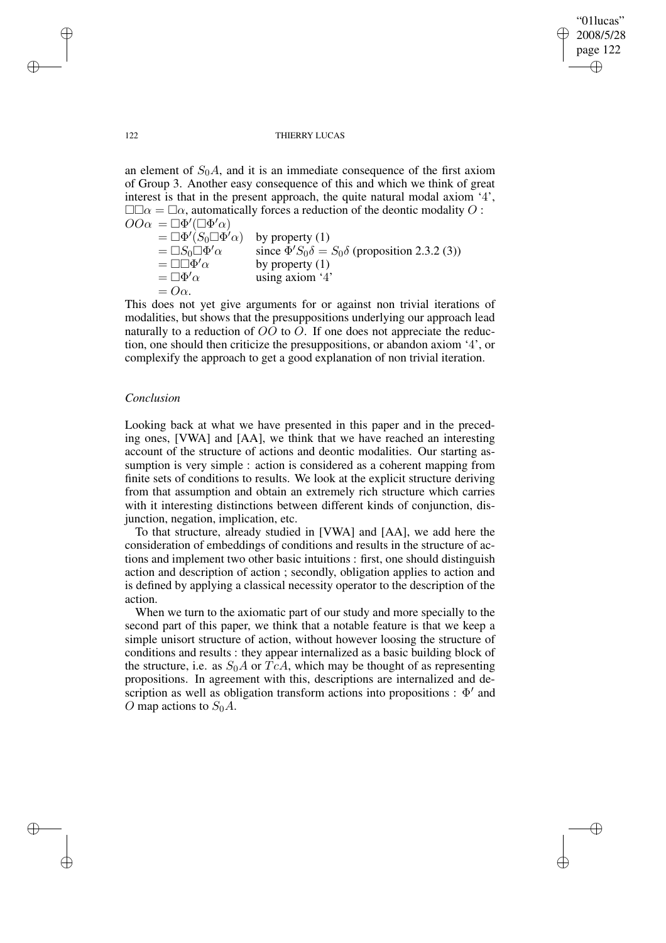### "01lucas" 2008/5/28 page 122 ✐ ✐

✐

✐

#### 122 THIERRY LUCAS

an element of  $S_0A$ , and it is an immediate consequence of the first axiom of Group 3. Another easy consequence of this and which we think of great interest is that in the present approach, the quite natural modal axiom '4',  $\square\square\alpha = \square\alpha$ , automatically forces a reduction of the deontic modality O:  $OO\alpha = \Box \Phi'(\Box \Phi' \alpha)$  $= \Box \Phi' \dot(S_0 \Box \Phi)$ by property  $(1)$ 

 $=\Box S_0\Box\Phi'\alpha$  $\alpha$  since  $\bar{\Phi}' S_0 \delta = S_0 \delta$  (proposition 2.3.2 (3))  $=\Box\Box\Phi'\alpha$ by property  $(1)$  $=\Box\Phi'\alpha$ using axiom '4'  $= O\alpha$ .

This does not yet give arguments for or against non trivial iterations of modalities, but shows that the presuppositions underlying our approach lead naturally to a reduction of  $OO$  to  $O$ . If one does not appreciate the reduction, one should then criticize the presuppositions, or abandon axiom '4', or complexify the approach to get a good explanation of non trivial iteration.

### *Conclusion*

Looking back at what we have presented in this paper and in the preceding ones, [VWA] and [AA], we think that we have reached an interesting account of the structure of actions and deontic modalities. Our starting assumption is very simple : action is considered as a coherent mapping from finite sets of conditions to results. We look at the explicit structure deriving from that assumption and obtain an extremely rich structure which carries with it interesting distinctions between different kinds of conjunction, disjunction, negation, implication, etc.

To that structure, already studied in [VWA] and [AA], we add here the consideration of embeddings of conditions and results in the structure of actions and implement two other basic intuitions : first, one should distinguish action and description of action ; secondly, obligation applies to action and is defined by applying a classical necessity operator to the description of the action.

When we turn to the axiomatic part of our study and more specially to the second part of this paper, we think that a notable feature is that we keep a simple unisort structure of action, without however loosing the structure of conditions and results : they appear internalized as a basic building block of the structure, i.e. as  $S_0A$  or  $TcA$ , which may be thought of as representing propositions. In agreement with this, descriptions are internalized and description as well as obligation transform actions into propositions :  $\Phi'$  and O map actions to  $S_0A$ .

✐

✐

✐